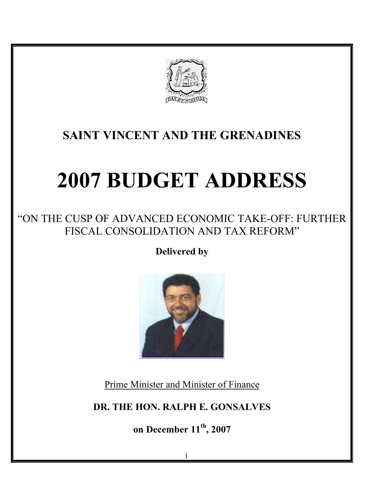

## **SAINT VINCENT AND THE GRENADINES**

# **2007 BUDGET ADDRESS**

## "ON THE CUSP OF ADVANCED ECONOMIC TAKE-OFF: FURTHER FISCAL CONSOLIDATION AND TAX REFORM"

**Delivered by** 



Prime Minister and Minister of Finance

**DR. THE HON. RALPH E. GONSALVES** 

**on December 11th, 2007**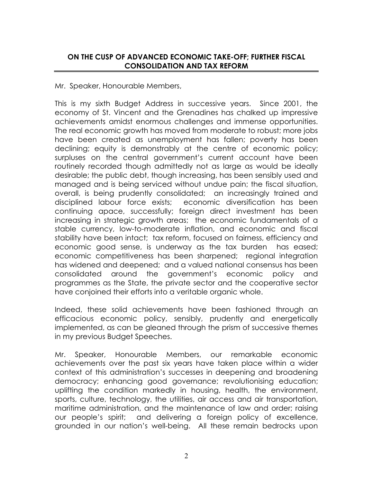#### **ON THE CUSP OF ADVANCED ECONOMIC TAKE-OFF; FURTHER FISCAL CONSOLIDATION AND TAX REFORM**

#### Mr. Speaker, Honourable Members,

This is my sixth Budget Address in successive years. Since 2001, the economy of St. Vincent and the Grenadines has chalked up impressive achievements amidst enormous challenges and immense opportunities. The real economic growth has moved from moderate to robust; more jobs have been created as unemployment has fallen; poverty has been declining; equity is demonstrably at the centre of economic policy; surpluses on the central government's current account have been routinely recorded though admittedly not as large as would be ideally desirable; the public debt, though increasing, has been sensibly used and managed and is being serviced without undue pain; the fiscal situation, overall, is being prudently consolidated; an increasingly trained and disciplined labour force exists; economic diversification has been continuing apace, successfully; foreign direct investment has been increasing in strategic growth areas; the economic fundamentals of a stable currency, low-to-moderate inflation, and economic and fiscal stability have been intact; tax reform, focused on fairness, efficiency and economic good sense, is underway as the tax burden has eased; economic competitiveness has been sharpened; regional integration has widened and deepened; and a valued national consensus has been consolidated around the government's economic policy and programmes as the State, the private sector and the cooperative sector have conjoined their efforts into a veritable organic whole.

Indeed, these solid achievements have been fashioned through an efficacious economic policy, sensibly, prudently and energetically implemented, as can be gleaned through the prism of successive themes in my previous Budget Speeches.

Mr. Speaker, Honourable Members, our remarkable economic achievements over the past six years have taken place within a wider context of this administration's successes in deepening and broadening democracy; enhancing good governance; revolutionising education; uplifting the condition markedly in housing, health, the environment, sports, culture, technology, the utilities, air access and air transportation, maritime administration, and the maintenance of law and order; raising our people's spirit; and delivering a foreign policy of excellence, grounded in our nation's well-being. All these remain bedrocks upon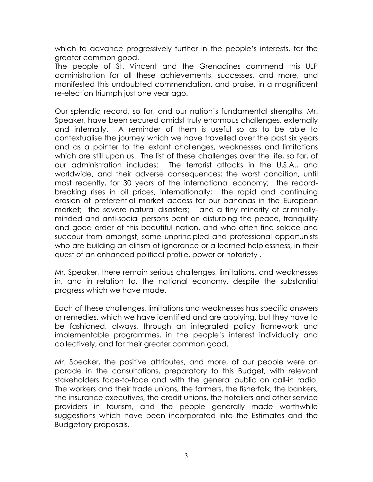which to advance progressively further in the people's interests, for the greater common good.

The people of St. Vincent and the Grenadines commend this ULP administration for all these achievements, successes, and more, and manifested this undoubted commendation, and praise, in a magnificent re-election triumph just one year ago.

Our splendid record, so far, and our nation's fundamental strengths, Mr. Speaker, have been secured amidst truly enormous challenges, externally and internally. A reminder of them is useful so as to be able to contextualise the journey which we have travelled over the past six years and as a pointer to the extant challenges, weaknesses and limitations which are still upon us. The list of these challenges over the life, so far, of our administration includes: The terrorist attacks in the U.S.A., and worldwide, and their adverse consequences; the worst condition, until most recently, for 30 years of the international economy; the recordbreaking rises in oil prices, internationally; the rapid and continuing erosion of preferential market access for our bananas in the European market; the severe natural disasters; and a tiny minority of criminallyminded and anti-social persons bent on disturbing the peace, tranquility and good order of this beautiful nation, and who often find solace and succour from amongst, some unprincipled and professional opportunists who are building an elitism of ignorance or a learned helplessness, in their quest of an enhanced political profile, power or notoriety .

Mr. Speaker, there remain serious challenges, limitations, and weaknesses in, and in relation to, the national economy, despite the substantial progress which we have made.

Each of these challenges, limitations and weaknesses has specific answers or remedies, which we have identified and are applying, but they have to be fashioned, always, through an integrated policy framework and implementable programmes, in the people's interest individually and collectively, and for their greater common good.

Mr. Speaker, the positive attributes, and more, of our people were on parade in the consultations, preparatory to this Budget, with relevant stakeholders face-to-face and with the general public on call-in radio. The workers and their trade unions, the farmers, the fisherfolk, the bankers, the insurance executives, the credit unions, the hoteliers and other service providers in tourism, and the people generally made worthwhile suggestions which have been incorporated into the Estimates and the Budgetary proposals.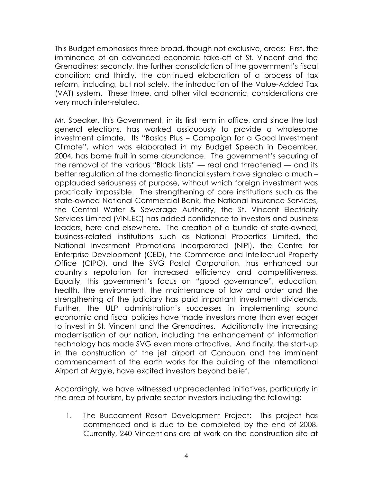This Budget emphasises three broad, though not exclusive, areas: First, the imminence of an advanced economic take-off of St. Vincent and the Grenadines; secondly, the further consolidation of the government's fiscal condition; and thirdly, the continued elaboration of a process of tax reform, including, but not solely, the introduction of the Value-Added Tax (VAT) system. These three, and other vital economic, considerations are very much inter-related.

Mr. Speaker, this Government, in its first term in office, and since the last general elections, has worked assiduously to provide a wholesome investment climate. Its "Basics Plus – Campaign for a Good Investment Climate", which was elaborated in my Budget Speech in December, 2004, has borne fruit in some abundance. The government's securing of the removal of the various "Black Lists" — real and threatened — and its better regulation of the domestic financial system have signaled a much – applauded seriousness of purpose, without which foreign investment was practically impossible. The strengthening of core institutions such as the state-owned National Commercial Bank, the National Insurance Services, the Central Water & Sewerage Authority, the St. Vincent Electricity Services Limited (VINLEC) has added confidence to investors and business leaders, here and elsewhere. The creation of a bundle of state-owned, business-related institutions such as National Properties Limited, the National Investment Promotions Incorporated (NIPI), the Centre for Enterprise Development (CED), the Commerce and Intellectual Property Office (CIPO), and the SVG Postal Corporation, has enhanced our country's reputation for increased efficiency and competitiveness. Equally, this government's focus on "good governance", education, health, the environment, the maintenance of law and order and the strengthening of the judiciary has paid important investment dividends. Further, the ULP administration's successes in implementing sound economic and fiscal policies have made investors more than ever eager to invest in St. Vincent and the Grenadines. Additionally the increasing modernisation of our nation, including the enhancement of information technology has made SVG even more attractive. And finally, the start-up in the construction of the jet airport at Canouan and the imminent commencement of the earth works for the building of the International Airport at Argyle, have excited investors beyond belief.

Accordingly, we have witnessed unprecedented initiatives, particularly in the area of tourism, by private sector investors including the following:

1. The Buccament Resort Development Project: This project has commenced and is due to be completed by the end of 2008. Currently, 240 Vincentians are at work on the construction site at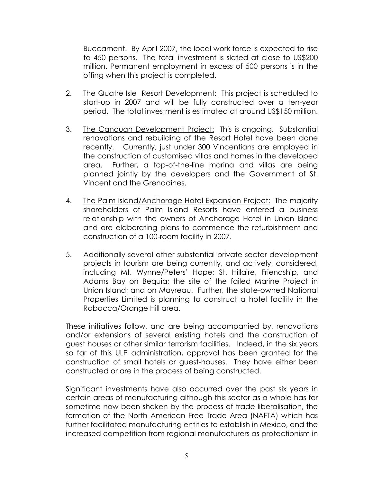Buccament. By April 2007, the local work force is expected to rise to 450 persons. The total investment is slated at close to US\$200 million. Permanent employment in excess of 500 persons is in the offing when this project is completed.

- 2. The Quatre Isle Resort Development: This project is scheduled to start-up in 2007 and will be fully constructed over a ten-year period. The total investment is estimated at around US\$150 million.
- 3. The Canouan Development Project: This is ongoing. Substantial renovations and rebuilding of the Resort Hotel have been done recently. Currently, just under 300 Vincentians are employed in the construction of customised villas and homes in the developed area. Further, a top-of-the-line marina and villas are being planned jointly by the developers and the Government of St. Vincent and the Grenadines.
- 4. The Palm Island/Anchorage Hotel Expansion Project: The majority shareholders of Palm Island Resorts have entered a business relationship with the owners of Anchorage Hotel in Union Island and are elaborating plans to commence the refurbishment and construction of a 100-room facility in 2007.
- 5. Additionally several other substantial private sector development projects in tourism are being currently, and actively, considered, including Mt. Wynne/Peters' Hope; St. Hillaire, Friendship, and Adams Bay on Bequia; the site of the failed Marine Project in Union Island; and on Mayreau. Further, the state-owned National Properties Limited is planning to construct a hotel facility in the Rabacca/Orange Hill area.

These initiatives follow, and are being accompanied by, renovations and/or extensions of several existing hotels and the construction of guest houses or other similar terrorism facilities. Indeed, in the six years so far of this ULP administration, approval has been granted for the construction of small hotels or guest-houses. They have either been constructed or are in the process of being constructed.

Significant investments have also occurred over the past six years in certain areas of manufacturing although this sector as a whole has for sometime now been shaken by the process of trade liberalisation, the formation of the North American Free Trade Area (NAFTA) which has further facilitated manufacturing entities to establish in Mexico, and the increased competition from regional manufacturers as protectionism in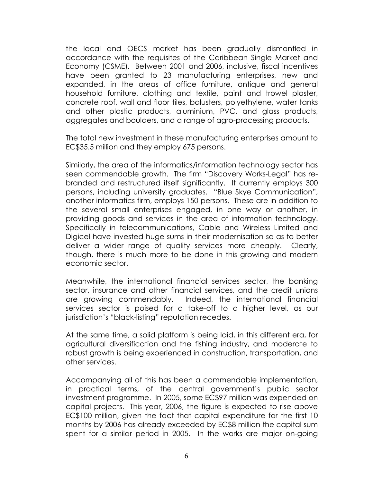the local and OECS market has been gradually dismantled in accordance with the requisites of the Caribbean Single Market and Economy (CSME). Between 2001 and 2006, inclusive, fiscal incentives have been granted to 23 manufacturing enterprises, new and expanded, in the areas of office furniture, antique and general household furniture, clothing and textile, paint and trowel plaster, concrete roof, wall and floor tiles, balusters, polyethylene, water tanks and other plastic products, aluminium, PVC, and glass products, aggregates and boulders, and a range of agro-processing products.

The total new investment in these manufacturing enterprises amount to EC\$35.5 million and they employ 675 persons.

Similarly, the area of the informatics/information technology sector has seen commendable growth. The firm "Discovery Works-Legal" has rebranded and restructured itself significantly. It currently employs 300 persons, including university graduates. "Blue Skye Communication", another informatics firm, employs 150 persons. These are in addition to the several small enterprises engaged, in one way or another, in providing goods and services in the area of information technology. Specifically in telecommunications, Cable and Wireless Limited and Digicel have invested huge sums in their modernisation so as to better deliver a wider range of quality services more cheaply. Clearly, though, there is much more to be done in this growing and modern economic sector.

Meanwhile, the international financial services sector, the banking sector, insurance and other financial services, and the credit unions are growing commendably. Indeed, the international financial services sector is poised for a take-off to a higher level, as our jurisdiction's "black-listing" reputation recedes.

At the same time, a solid platform is being laid, in this different era, for agricultural diversification and the fishing industry, and moderate to robust growth is being experienced in construction, transportation, and other services.

Accompanying all of this has been a commendable implementation, in practical terms, of the central government's public sector investment programme. In 2005, some EC\$97 million was expended on capital projects. This year, 2006, the figure is expected to rise above EC\$100 million, given the fact that capital expenditure for the first 10 months by 2006 has already exceeded by EC\$8 million the capital sum spent for a similar period in 2005. In the works are major on-going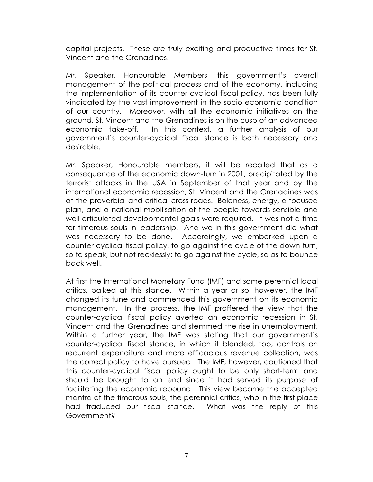capital projects. These are truly exciting and productive times for St. Vincent and the Grenadines!

Mr. Speaker, Honourable Members, this government's overall management of the political process and of the economy, including the implementation of its counter-cyclical fiscal policy, has been fully vindicated by the vast improvement in the socio-economic condition of our country. Moreover, with all the economic initiatives on the ground, St. Vincent and the Grenadines is on the cusp of an advanced economic take-off. In this context, a further analysis of our government's counter-cyclical fiscal stance is both necessary and desirable.

Mr. Speaker, Honourable members, it will be recalled that as a consequence of the economic down-turn in 2001, precipitated by the terrorist attacks in the USA in September of that year and by the international economic recession, St. Vincent and the Grenadines was at the proverbial and critical cross-roads. Boldness, energy, a focused plan, and a national mobilisation of the people towards sensible and well-articulated developmental goals were required. It was not a time for timorous souls in leadership. And we in this government did what was necessary to be done. Accordingly, we embarked upon a counter-cyclical fiscal policy, to go against the cycle of the down-turn, so to speak, but not recklessly; to go against the cycle, so as to bounce back well!

At first the International Monetary Fund (IMF) and some perennial local critics, balked at this stance. Within a year or so, however, the IMF changed its tune and commended this government on its economic management. In the process, the IMF proffered the view that the counter-cyclical fiscal policy averted an economic recession in St. Vincent and the Grenadines and stemmed the rise in unemployment. Within a further year, the IMF was stating that our government's counter-cyclical fiscal stance, in which it blended, too, controls on recurrent expenditure and more efficacious revenue collection, was the correct policy to have pursued. The IMF, however, cautioned that this counter-cyclical fiscal policy ought to be only short-term and should be brought to an end since it had served its purpose of facilitating the economic rebound. This view became the accepted mantra of the timorous souls, the perennial critics, who in the first place had traduced our fiscal stance. What was the reply of this Government?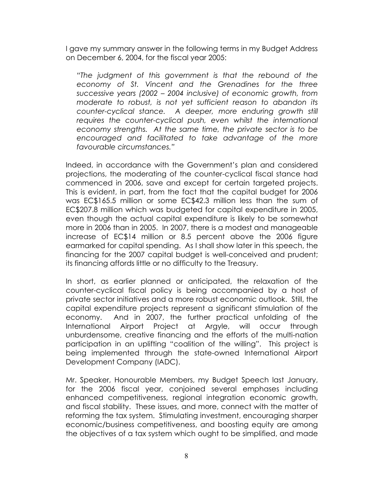I gave my summary answer in the following terms in my Budget Address on December 6, 2004, for the fiscal year 2005:

*"The judgment of this government is that the rebound of the economy of St. Vincent and the Grenadines for the three successive years (2002 – 2004 inclusive) of economic growth, from moderate to robust, is not yet sufficient reason to abandon its counter-cyclical stance. A deeper, more enduring growth still requires the counter-cyclical push, even whilst the international economy strengths. At the same time, the private sector is to be encouraged and facilitated to take advantage of the more favourable circumstances."* 

Indeed, in accordance with the Government's plan and considered projections, the moderating of the counter-cyclical fiscal stance had commenced in 2006, save and except for certain targeted projects. This is evident, in part, from the fact that the capital budget for 2006 was EC\$165.5 million or some EC\$42.3 million less than the sum of EC\$207.8 million which was budgeted for capital expenditure in 2005, even though the actual capital expenditure is likely to be somewhat more in 2006 than in 2005. In 2007, there is a modest and manageable increase of EC\$14 million or 8.5 percent above the 2006 figure earmarked for capital spending. As I shall show later in this speech, the financing for the 2007 capital budget is well-conceived and prudent; its financing affords little or no difficulty to the Treasury.

In short, as earlier planned or anticipated, the relaxation of the counter-cyclical fiscal policy is being accompanied by a host of private sector initiatives and a more robust economic outlook. Still, the capital expenditure projects represent a significant stimulation of the economy. And in 2007, the further practical unfolding of the International Airport Project at Argyle, will occur through unburdensome, creative financing and the efforts of the multi-nation participation in an uplifting "coalition of the willing". This project is being implemented through the state-owned International Airport Development Company (IADC).

Mr. Speaker, Honourable Members, my Budget Speech last January, for the 2006 fiscal year, conjoined several emphases including enhanced competitiveness, regional integration economic growth, and fiscal stability. These issues, and more, connect with the matter of reforming the tax system. Stimulating investment, encouraging sharper economic/business competitiveness, and boosting equity are among the objectives of a tax system which ought to be simplified, and made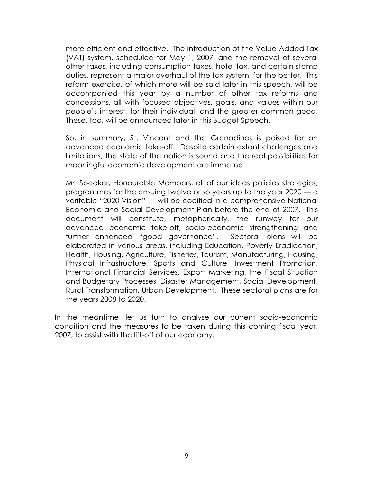more efficient and effective. The introduction of the Value-Added Tax (VAT) system, scheduled for May 1, 2007, and the removal of several other taxes, including consumption taxes, hotel tax, and certain stamp duties, represent a major overhaul of the tax system, for the better. This reform exercise, of which more will be said later in this speech, will be accompanied this year by a number of other tax reforms and concessions, all with focused objectives, goals, and values within our people's interest, for their individual, and the greater common good. These, too, will be announced later in this Budget Speech.

So, in summary, St. Vincent and the Grenadines is poised for an advanced economic take-off. Despite certain extant challenges and limitations, the state of the nation is sound and the real possibilities for meaningful economic development are immense.

Mr. Speaker, Honourable Members, all of our ideas policies strategies, programmes for the ensuing twelve or so years up to the year 2020 — a veritable "2020 Vision" — will be codified in a comprehensive National Economic and Social Development Plan before the end of 2007. This document will constitute, metaphorically, the runway for our advanced economic take-off, socio-economic strengthening and further enhanced "good governance". Sectoral plans will be elaborated in various areas, including Education, Poverty Eradication, Health, Housing, Agriculture, Fisheries, Tourism, Manufacturing, Housing, Physical Infrastructure, Sports and Culture, Investment Promotion, International Financial Services, Export Marketing, the Fiscal Situation and Budgetary Processes, Disaster Management, Social Development, Rural Transformation, Urban Development. These sectoral plans are for the years 2008 to 2020.

In the meantime, let us turn to analyse our current socio-economic condition and the measures to be taken during this coming fiscal year, 2007, to assist with the lift-off of our economy.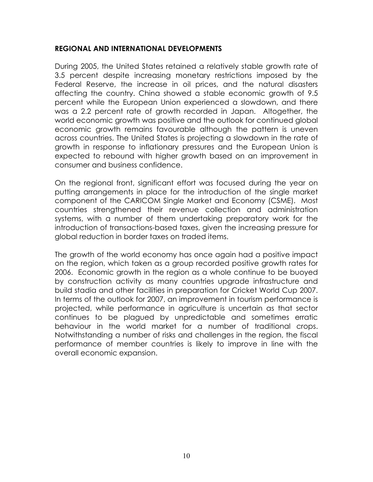#### **REGIONAL AND INTERNATIONAL DEVELOPMENTS**

During 2005, the United States retained a relatively stable growth rate of 3.5 percent despite increasing monetary restrictions imposed by the Federal Reserve, the increase in oil prices, and the natural disasters affecting the country. China showed a stable economic growth of 9.5 percent while the European Union experienced a slowdown, and there was a 2.2 percent rate of growth recorded in Japan. Altogether, the world economic growth was positive and the outlook for continued global economic growth remains favourable although the pattern is uneven across countries. The United States is projecting a slowdown in the rate of growth in response to inflationary pressures and the European Union is expected to rebound with higher growth based on an improvement in consumer and business confidence.

On the regional front, significant effort was focused during the year on putting arrangements in place for the introduction of the single market component of the CARICOM Single Market and Economy (CSME). Most countries strengthened their revenue collection and administration systems, with a number of them undertaking preparatory work for the introduction of transactions-based taxes, given the increasing pressure for global reduction in border taxes on traded items.

The growth of the world economy has once again had a positive impact on the region, which taken as a group recorded positive growth rates for 2006. Economic growth in the region as a whole continue to be buoyed by construction activity as many countries upgrade infrastructure and build stadia and other facilities in preparation for Cricket World Cup 2007. In terms of the outlook for 2007, an improvement in tourism performance is projected, while performance in agriculture is uncertain as that sector continues to be plagued by unpredictable and sometimes erratic behaviour in the world market for a number of traditional crops. Notwithstanding a number of risks and challenges in the region, the fiscal performance of member countries is likely to improve in line with the overall economic expansion.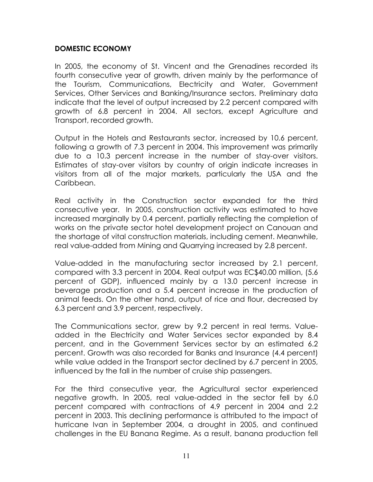#### **DOMESTIC ECONOMY**

In 2005, the economy of St. Vincent and the Grenadines recorded its fourth consecutive year of growth, driven mainly by the performance of the Tourism, Communications, Electricity and Water, Government Services, Other Services and Banking/Insurance sectors. Preliminary data indicate that the level of output increased by 2.2 percent compared with growth of 6.8 percent in 2004. All sectors, except Agriculture and Transport, recorded growth.

Output in the Hotels and Restaurants sector, increased by 10.6 percent, following a growth of 7.3 percent in 2004. This improvement was primarily due to a 10.3 percent increase in the number of stay-over visitors. Estimates of stay-over visitors by country of origin indicate increases in visitors from all of the major markets, particularly the USA and the Caribbean.

Real activity in the Construction sector expanded for the third consecutive year. In 2005, construction activity was estimated to have increased marginally by 0.4 percent, partially reflecting the completion of works on the private sector hotel development project on Canouan and the shortage of vital construction materials, including cement. Meanwhile, real value-added from Mining and Quarrying increased by 2.8 percent.

Value-added in the manufacturing sector increased by 2.1 percent, compared with 3.3 percent in 2004. Real output was EC\$40.00 million, (5.6 percent of GDP), influenced mainly by a 13.0 percent increase in beverage production and a 5.4 percent increase in the production of animal feeds. On the other hand, output of rice and flour, decreased by 6.3 percent and 3.9 percent, respectively.

The Communications sector, grew by 9.2 percent in real terms. Valueadded in the Electricity and Water Services sector expanded by 8.4 percent, and in the Government Services sector by an estimated 6.2 percent. Growth was also recorded for Banks and Insurance (4.4 percent) while value added in the Transport sector declined by 6.7 percent in 2005, influenced by the fall in the number of cruise ship passengers.

For the third consecutive year, the Agricultural sector experienced negative growth. In 2005, real value-added in the sector fell by 6.0 percent compared with contractions of 4.9 percent in 2004 and 2.2 percent in 2003. This declining performance is attributed to the impact of hurricane Ivan in September 2004, a drought in 2005, and continued challenges in the EU Banana Regime. As a result, banana production fell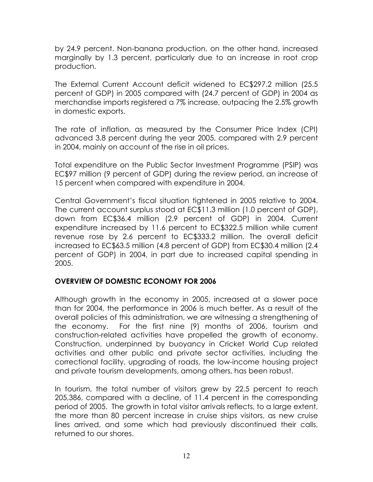by 24.9 percent. Non-banana production, on the other hand, increased marginally by 1.3 percent, particularly due to an increase in root crop production.

The External Current Account deficit widened to EC\$297.2 million (25.5 percent of GDP) in 2005 compared with (24.7 percent of GDP) in 2004 as merchandise imports registered a 7% increase, outpacing the 2.5% growth in domestic exports.

The rate of inflation, as measured by the Consumer Price Index (CPI) advanced 3.8 percent during the year 2005, compared with 2.9 percent in 2004, mainly on account of the rise in oil prices.

Total expenditure on the Public Sector Investment Programme (PSIP) was EC\$97 million (9 percent of GDP) during the review period, an increase of 15 percent when compared with expenditure in 2004.

Central Government's fiscal situation tightened in 2005 relative to 2004. The current account surplus stood at EC\$11.3 million (1.0 percent of GDP), down from EC\$36.4 million (2.9 percent of GDP) in 2004. Current expenditure increased by 11.6 percent to EC\$322.5 million while current revenue rose by 2.6 percent to EC\$333.2 million. The overall deficit increased to EC\$63.5 million (4.8 percent of GDP) from EC\$30.4 million (2.4 percent of GDP) in 2004, in part due to increased capital spending in 2005.

#### **OVERVIEW OF DOMESTIC ECONOMY FOR 2006**

Although growth in the economy in 2005, increased at a slower pace than for 2004, the performance in 2006 is much better. As a result of the overall policies of this administration, we are witnessing a strengthening of the economy. For the first nine (9) months of 2006, tourism and construction-related activities have propelled the growth of economy. Construction, underpinned by buoyancy in Cricket World Cup related activities and other public and private sector activities, including the correctional facility, upgrading of roads, the low-income housing project and private tourism developments, among others, has been robust.

In tourism, the total number of visitors grew by 22.5 percent to reach 205,386, compared with a decline, of 11.4 percent in the corresponding period of 2005. The growth in total visitor arrivals reflects, to a large extent, the more than 80 percent increase in cruise ships visitors, as new cruise lines arrived, and some which had previously discontinued their calls, returned to our shores.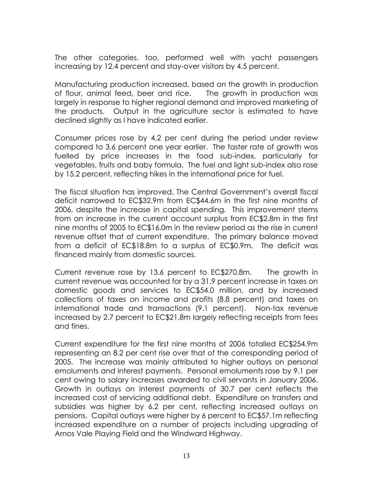The other categories, too, performed well with yacht passengers increasing by 12.4 percent and stay-over visitors by 4.5 percent.

Manufacturing production increased, based on the growth in production of flour, animal feed, beer and rice. The growth in production was largely in response to higher regional demand and improved marketing of the products. Output in the agriculture sector is estimated to have declined slightly as I have indicated earlier.

Consumer prices rose by 4.2 per cent during the period under review compared to 3.6 percent one year earlier. The faster rate of growth was fuelled by price increases in the food sub-index, particularly for vegetables, fruits and baby formula. The fuel and light sub-index also rose by 15.2 percent, reflecting hikes in the international price for fuel.

The fiscal situation has improved. The Central Government's overall fiscal deficit narrowed to EC\$32.9m from EC\$44.6m in the first nine months of 2006, despite the increase in capital spending. This improvement stems from an increase in the current account surplus from EC\$2.8m in the first nine months of 2005 to EC\$16.0m in the review period as the rise in current revenue offset that of current expenditure. The primary balance moved from a deficit of EC\$18.8m to a surplus of EC\$0.9m. The deficit was financed mainly from domestic sources.

Current revenue rose by 13.6 percent to EC\$270.8m. The growth in current revenue was accounted for by a 31.9 percent increase in taxes on domestic goods and services to EC\$54.0 million, and by increased collections of taxes on income and profits (8.8 percent) and taxes on international trade and transactions (9.1 percent). Non-tax revenue increased by 2.7 percent to EC\$21.8m largely reflecting receipts from fees and fines.

Current expenditure for the first nine months of 2006 totalled EC\$254.9m representing an 8.2 per cent rise over that of the corresponding period of 2005. The increase was mainly attributed to higher outlays on personal emoluments and interest payments. Personal emoluments rose by 9.1 per cent owing to salary increases awarded to civil servants in January 2006. Growth in outlays on interest payments of 30.7 per cent reflects the increased cost of servicing additional debt. Expenditure on transfers and subsidies was higher by 6.2 per cent, reflecting increased outlays on pensions. Capital outlays were higher by 6 percent to EC\$57.1m reflecting increased expenditure on a number of projects including upgrading of Arnos Vale Playing Field and the Windward Highway.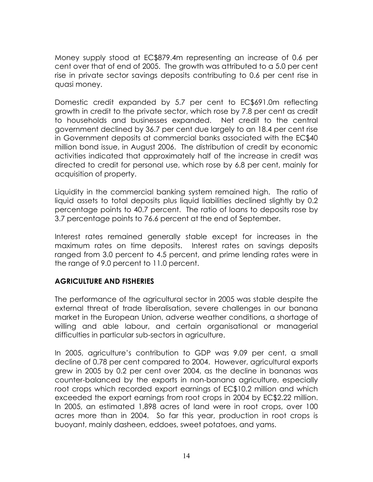Money supply stood at EC\$879.4m representing an increase of 0.6 per cent over that of end of 2005. The growth was attributed to a 5.0 per cent rise in private sector savings deposits contributing to 0.6 per cent rise in quasi money.

Domestic credit expanded by 5.7 per cent to EC\$691.0m reflecting growth in credit to the private sector, which rose by 7.8 per cent as credit to households and businesses expanded. Net credit to the central government declined by 36.7 per cent due largely to an 18.4 per cent rise in Government deposits at commercial banks associated with the EC\$40 million bond issue, in August 2006. The distribution of credit by economic activities indicated that approximately half of the increase in credit was directed to credit for personal use, which rose by 6.8 per cent, mainly for acquisition of property.

Liquidity in the commercial banking system remained high. The ratio of liquid assets to total deposits plus liquid liabilities declined slightly by 0.2 percentage points to 40.7 percent. The ratio of loans to deposits rose by 3.7 percentage points to 76.6 percent at the end of September.

Interest rates remained generally stable except for increases in the maximum rates on time deposits. Interest rates on savings deposits ranged from 3.0 percent to 4.5 percent, and prime lending rates were in the range of 9.0 percent to 11.0 percent.

#### **AGRICULTURE AND FISHERIES**

The performance of the agricultural sector in 2005 was stable despite the external threat of trade liberalisation, severe challenges in our banana market in the European Union, adverse weather conditions, a shortage of willing and able labour, and certain organisational or managerial difficulties in particular sub-sectors in agriculture.

In 2005, agriculture's contribution to GDP was 9.09 per cent, a small decline of 0.78 per cent compared to 2004. However, agricultural exports grew in 2005 by 0.2 per cent over 2004, as the decline in bananas was counter-balanced by the exports in non-banana agriculture, especially root crops which recorded export earnings of EC\$10.2 million and which exceeded the export earnings from root crops in 2004 by EC\$2.22 million. In 2005, an estimated 1,898 acres of land were in root crops, over 100 acres more than in 2004. So far this year, production in root crops is buoyant, mainly dasheen, eddoes, sweet potatoes, and yams.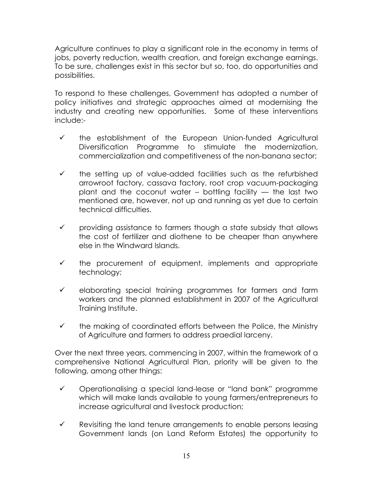Agriculture continues to play a significant role in the economy in terms of jobs, poverty reduction, wealth creation, and foreign exchange earnings. To be sure, challenges exist in this sector but so, too, do opportunities and possibilities.

To respond to these challenges, Government has adopted a number of policy initiatives and strategic approaches aimed at modernising the industry and creating new opportunities. Some of these interventions include:-

- $\checkmark$  the establishment of the European Union-funded Agricultural Diversification Programme to stimulate the modernization, commercialization and competitiveness of the non-banana sector;
- $\checkmark$  the setting up of value-added facilities such as the refurbished arrowroot factory, cassava factory, root crop vacuum-packaging plant and the coconut water  $-$  bottling facility  $-$  the last two mentioned are, however, not up and running as yet due to certain technical difficulties.
- $\checkmark$  providing assistance to farmers though a state subsidy that allows the cost of fertilizer and diothene to be cheaper than anywhere else in the Windward Islands.
- $\checkmark$  the procurement of equipment, implements and appropriate technology;
- $\checkmark$  elaborating special training programmes for farmers and farm workers and the planned establishment in 2007 of the Agricultural Training Institute.
- $\checkmark$  the making of coordinated efforts between the Police, the Ministry of Agriculture and farmers to address praedial larceny.

Over the next three years, commencing in 2007, within the framework of a comprehensive National Agricultural Plan, priority will be given to the following, among other things:

- $\checkmark$  Operationalising a special land-lease or "land bank" programme which will make lands available to young farmers/entrepreneurs to increase agricultural and livestock production;
- $\checkmark$  Revisiting the land tenure arrangements to enable persons leasing Government lands (on Land Reform Estates) the opportunity to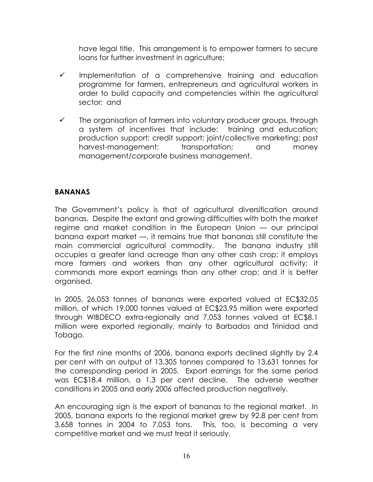have legal title. This arrangement is to empower farmers to secure loans for further investment in agriculture;

- $\checkmark$  Implementation of a comprehensive training and education programme for farmers, entrepreneurs and agricultural workers in order to build capacity and competencies within the agricultural sector; and
- $\checkmark$  The organisation of farmers into voluntary producer groups, through a system of incentives that include: training and education; production support; credit support; joint/collective marketing; post harvest-management; transportation; and money management/corporate business management.

#### **BANANAS**

The Government's policy is that of agricultural diversification around bananas. Despite the extant and growing difficulties with both the market regime and market condition in the European Union — our principal banana export market —, it remains true that bananas still constitute the main commercial agricultural commodity. The banana industry still occupies a greater land acreage than any other cash crop; it employs more farmers and workers than any other agricultural activity; it commands more export earnings than any other crop; and it is better organised.

In 2005, 26,053 tonnes of bananas were exported valued at EC\$32.05 million, of which 19,000 tonnes valued at EC\$23.95 million were exported through WIBDECO extra-regionally and 7,053 tonnes valued at EC\$8.1 million were exported regionally, mainly to Barbados and Trinidad and Tobago.

For the first nine months of 2006, banana exports declined slightly by 2.4 per cent with an output of 13,305 tonnes compared to 13,631 tonnes for the corresponding period in 2005. Export earnings for the same period was EC\$18.4 million, a 1.3 per cent decline. The adverse weather conditions in 2005 and early 2006 affected production negatively.

An encouraging sign is the export of bananas to the regional market. In 2005, banana exports to the regional market grew by 92.8 per cent from 3,658 tonnes in 2004 to 7,053 tons. This, too, is becoming a very competitive market and we must treat it seriously.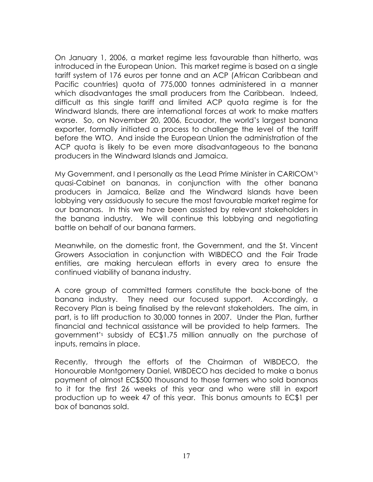On January 1, 2006, a market regime less favourable than hitherto, was introduced in the European Union. This market regime is based on a single tariff system of 176 euros per tonne and an ACP (African Caribbean and Pacific countries) quota of 775,000 tonnes administered in a manner which disadvantages the small producers from the Caribbean. Indeed, difficult as this single tariff and limited ACP quota regime is for the Windward Islands, there are international forces at work to make matters worse. So, on November 20, 2006, Ecuador, the world's largest banana exporter, formally initiated a process to challenge the level of the tariff before the WTO. And inside the European Union the administration of the ACP quota is likely to be even more disadvantageous to the banana producers in the Windward Islands and Jamaica.

My Government, and I personally as the Lead Prime Minister in CARICOM's quasi-Cabinet on bananas, in conjunction with the other banana producers in Jamaica, Belize and the Windward Islands have been lobbying very assiduously to secure the most favourable market regime for our bananas. In this we have been assisted by relevant stakeholders in the banana industry. We will continue this lobbying and negotiating battle on behalf of our banana farmers.

Meanwhile, on the domestic front, the Government, and the St. Vincent Growers Association in conjunction with WIBDECO and the Fair Trade entities, are making herculean efforts in every area to ensure the continued viability of banana industry.

A core group of committed farmers constitute the back-bone of the banana industry. They need our focused support. Accordingly, a Recovery Plan is being finalised by the relevant stakeholders. The aim, in part, is to lift production to 30,000 tonnes in 2007. Under the Plan, further financial and technical assistance will be provided to help farmers. The government's subsidy of EC\$1.75 million annually on the purchase of inputs, remains in place.

Recently, through the efforts of the Chairman of WIBDECO, the Honourable Montgomery Daniel, WIBDECO has decided to make a bonus payment of almost EC\$500 thousand to those farmers who sold bananas to it for the first 26 weeks of this year and who were still in export production up to week 47 of this year. This bonus amounts to EC\$1 per box of bananas sold.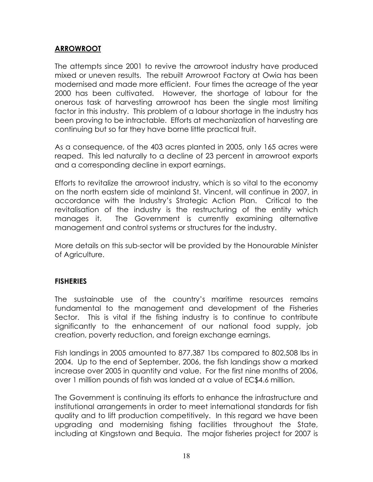#### **ARROWROOT**

The attempts since 2001 to revive the arrowroot industry have produced mixed or uneven results. The rebuilt Arrowroot Factory at Owia has been modernised and made more efficient. Four times the acreage of the year 2000 has been cultivated. However, the shortage of labour for the onerous task of harvesting arrowroot has been the single most limiting factor in this industry. This problem of a labour shortage in the industry has been proving to be intractable. Efforts at mechanization of harvesting are continuing but so far they have borne little practical fruit.

As a consequence, of the 403 acres planted in 2005, only 165 acres were reaped. This led naturally to a decline of 23 percent in arrowroot exports and a corresponding decline in export earnings.

Efforts to revitalize the arrowroot industry, which is so vital to the economy on the north eastern side of mainland St. Vincent, will continue in 2007, in accordance with the Industry's Strategic Action Plan. Critical to the revitalisation of the industry is the restructuring of the entity which manages it. The Government is currently examining alternative management and control systems or structures for the industry.

More details on this sub-sector will be provided by the Honourable Minister of Agriculture.

#### **FISHERIES**

The sustainable use of the country's maritime resources remains fundamental to the management and development of the Fisheries Sector. This is vital if the fishing industry is to continue to contribute significantly to the enhancement of our national food supply, job creation, poverty reduction, and foreign exchange earnings.

Fish landings in 2005 amounted to 877,387 1bs compared to 802,508 lbs in 2004. Up to the end of September, 2006, the fish landings show a marked increase over 2005 in quantity and value. For the first nine months of 2006, over 1 million pounds of fish was landed at a value of EC\$4.6 million.

The Government is continuing its efforts to enhance the infrastructure and institutional arrangements in order to meet international standards for fish quality and to lift production competitively. In this regard we have been upgrading and modernising fishing facilities throughout the State, including at Kingstown and Bequia. The major fisheries project for 2007 is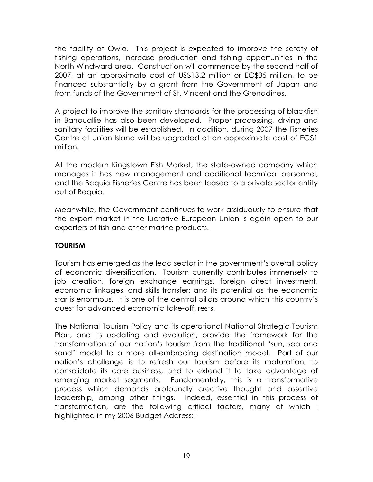the facility at Owia. This project is expected to improve the safety of fishing operations, increase production and fishing opportunities in the North Windward area. Construction will commence by the second half of 2007, at an approximate cost of US\$13.2 million or EC\$35 million, to be financed substantially by a grant from the Government of Japan and from funds of the Government of St. Vincent and the Grenadines.

A project to improve the sanitary standards for the processing of blackfish in Barrouallie has also been developed. Proper processing, drying and sanitary facilities will be established. In addition, during 2007 the Fisheries Centre at Union Island will be upgraded at an approximate cost of EC\$1 million.

At the modern Kingstown Fish Market, the state-owned company which manages it has new management and additional technical personnel; and the Bequia Fisheries Centre has been leased to a private sector entity out of Bequia.

Meanwhile, the Government continues to work assiduously to ensure that the export market in the lucrative European Union is again open to our exporters of fish and other marine products.

#### **TOURISM**

Tourism has emerged as the lead sector in the government's overall policy of economic diversification. Tourism currently contributes immensely to job creation, foreign exchange earnings, foreign direct investment, economic linkages, and skills transfer; and its potential as the economic star is enormous. It is one of the central pillars around which this country's quest for advanced economic take-off, rests.

The National Tourism Policy and its operational National Strategic Tourism Plan, and its updating and evolution, provide the framework for the transformation of our nation's tourism from the traditional "sun, sea and sand" model to a more all-embracing destination model. Part of our nation's challenge is to refresh our tourism before its maturation, to consolidate its core business, and to extend it to take advantage of emerging market segments. Fundamentally, this is a transformative process which demands profoundly creative thought and assertive leadership, among other things. Indeed, essential in this process of transformation, are the following critical factors, many of which I highlighted in my 2006 Budget Address:-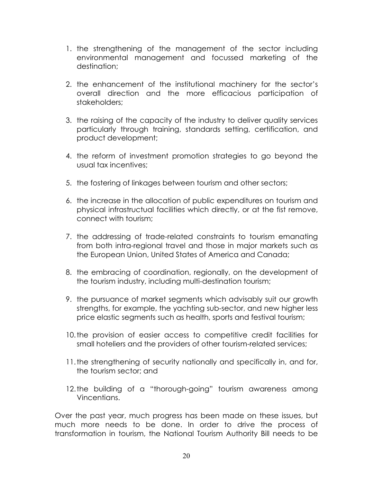- 1. the strengthening of the management of the sector including environmental management and focussed marketing of the destination;
- 2. the enhancement of the institutional machinery for the sector's overall direction and the more efficacious participation of stakeholders;
- 3. the raising of the capacity of the industry to deliver quality services particularly through training, standards setting, certification, and product development;
- 4. the reform of investment promotion strategies to go beyond the usual tax incentives;
- 5. the fostering of linkages between tourism and other sectors;
- 6. the increase in the allocation of public expenditures on tourism and physical infrastructual facilities which directly, or at the fist remove, connect with tourism;
- 7. the addressing of trade-related constraints to tourism emanating from both intra-regional travel and those in major markets such as the European Union, United States of America and Canada;
- 8. the embracing of coordination, regionally, on the development of the tourism industry, including multi-destination tourism;
- 9. the pursuance of market segments which advisably suit our growth strengths, for example, the yachting sub-sector, and new higher less price elastic segments such as health, sports and festival tourism;
- 10. the provision of easier access to competitive credit facilities for small hoteliers and the providers of other tourism-related services;
- 11. the strengthening of security nationally and specifically in, and for, the tourism sector; and
- 12. the building of a "thorough-going" tourism awareness among Vincentians.

Over the past year, much progress has been made on these issues, but much more needs to be done. In order to drive the process of transformation in tourism, the National Tourism Authority Bill needs to be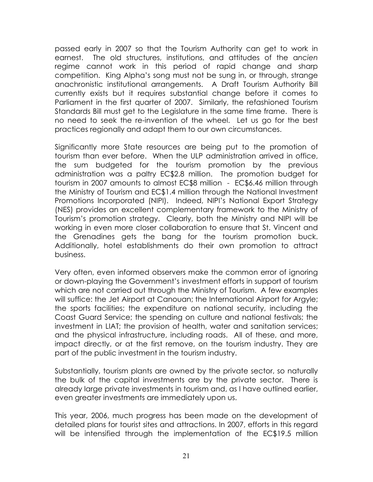passed early in 2007 so that the Tourism Authority can get to work in earnest. The old structures, institutions, and attitudes of the a*ncien* regime cannot work in this period of rapid change and sharp competition. King Alpha's song must not be sung in, or through, strange anachronistic institutional arrangements. A Draft Tourism Authority Bill currently exists but it requires substantial change before it comes to Parliament in the first quarter of 2007. Similarly, the refashioned Tourism Standards Bill must get to the Legislature in the same time frame. There is no need to seek the re-invention of the wheel. Let us go for the best practices regionally and adapt them to our own circumstances.

Significantly more State resources are being put to the promotion of tourism than ever before. When the ULP administration arrived in office, the sum budgeted for the tourism promotion by the previous administration was a paltry EC\$2.8 million. The promotion budget for tourism in 2007 amounts to almost EC\$8 million - EC\$6.46 million through the Ministry of Tourism and EC\$1.4 million through the National Investment Promotions Incorporated (NIPI). Indeed, NIPI's National Export Strategy (NES) provides an excellent complementary framework to the Ministry of Tourism's promotion strategy. Clearly, both the Ministry and NIPI will be working in even more closer collaboration to ensure that St. Vincent and the Grenadines gets the bang for the tourism promotion buck. Additionally, hotel establishments do their own promotion to attract business.

Very often, even informed observers make the common error of ignoring or down-playing the Government's investment efforts in support of tourism which are not carried out through the Ministry of Tourism. A few examples will suffice: the Jet Airport at Canouan; the International Airport for Argyle; the sports facilities; the expenditure on national security, including the Coast Guard Service; the spending on culture and national festivals; the investment in LIAT; the provision of health, water and sanitation services; and the physical infrastructure, including roads. All of these, and more, impact directly, or at the first remove, on the tourism industry. They are part of the public investment in the tourism industry.

Substantially, tourism plants are owned by the private sector, so naturally the bulk of the capital investments are by the private sector. There is already large private investments in tourism and, as I have outlined earlier, even greater investments are immediately upon us.

This year, 2006, much progress has been made on the development of detailed plans for tourist sites and attractions. In 2007, efforts in this regard will be intensified through the implementation of the EC\$19.5 million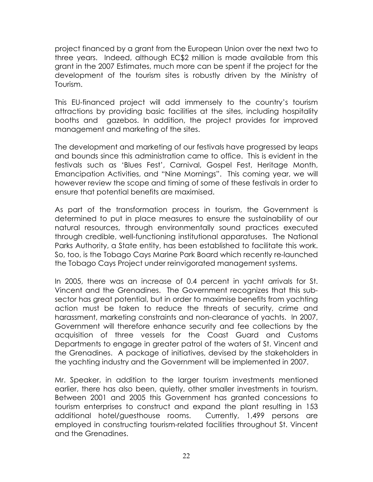project financed by a grant from the European Union over the next two to three years. Indeed, although EC\$2 million is made available from this grant in the 2007 Estimates, much more can be spent if the project for the development of the tourism sites is robustly driven by the Ministry of Tourism.

This EU-financed project will add immensely to the country's tourism attractions by providing basic facilities at the sites, including hospitality booths and gazebos. In addition, the project provides for improved management and marketing of the sites.

The development and marketing of our festivals have progressed by leaps and bounds since this administration came to office. This is evident in the festivals such as 'Blues Fest', Carnival, Gospel Fest, Heritage Month, Emancipation Activities, and "Nine Mornings". This coming year, we will however review the scope and timing of some of these festivals in order to ensure that potential benefits are maximised.

As part of the transformation process in tourism, the Government is determined to put in place measures to ensure the sustainability of our natural resources, through environmentally sound practices executed through credible, well-functioning institutional apparatuses. The National Parks Authority, a State entity, has been established to facilitate this work. So, too, is the Tobago Cays Marine Park Board which recently re-launched the Tobago Cays Project under reinvigorated management systems.

In 2005, there was an increase of 0.4 percent in yacht arrivals for St. Vincent and the Grenadines. The Government recognizes that this subsector has great potential, but in order to maximise benefits from yachting action must be taken to reduce the threats of security, crime and harassment, marketing constraints and non-clearance of yachts. In 2007, Government will therefore enhance security and fee collections by the acquisition of three vessels for the Coast Guard and Customs Departments to engage in greater patrol of the waters of St. Vincent and the Grenadines. A package of initiatives, devised by the stakeholders in the yachting industry and the Government will be implemented in 2007.

Mr. Speaker, in addition to the larger tourism investments mentioned earlier, there has also been, quietly, other smaller investments in tourism. Between 2001 and 2005 this Government has granted concessions to tourism enterprises to construct and expand the plant resulting in 153 additional hotel/guesthouse rooms. Currently, 1,499 persons are employed in constructing tourism-related facilities throughout St. Vincent and the Grenadines.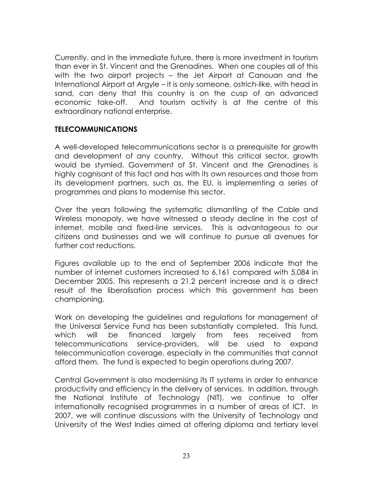Currently, and in the immediate future, there is more investment in tourism than ever in St. Vincent and the Grenadines. When one couples all of this with the two airport projects – the Jet Airport at Canouan and the International Airport at Argyle – it is only someone, ostrich-like, with head in sand, can deny that this country is on the cusp of an advanced economic take-off. And tourism activity is at the centre of this extraordinary national enterprise.

#### **TELECOMMUNICATIONS**

A well-developed telecommunications sector is a prerequisite for growth and development of any country. Without this critical sector, growth would be stymied. Government of St. Vincent and the Grenadines is highly cognisant of this fact and has with its own resources and those from its development partners, such as, the EU, is implementing a series of programmes and plans to modernise this sector.

Over the years following the systematic dismantling of the Cable and Wireless monopoly, we have witnessed a steady decline in the cost of internet, mobile and fixed-line services. This is advantageous to our citizens and businesses and we will continue to pursue all avenues for further cost reductions.

Figures available up to the end of September 2006 indicate that the number of internet customers increased to 6,161 compared with 5,084 in December 2005. This represents a 21.2 percent increase and is a direct result of the liberalisation process which this government has been championing.

Work on developing the guidelines and regulations for management of the Universal Service Fund has been substantially completed. This fund, which will be financed largely from fees received from telecommunications service-providers, will be used to expand telecommunication coverage, especially in the communities that cannot afford them. The fund is expected to begin operations during 2007.

Central Government is also modernising its IT systems in order to enhance productivity and efficiency in the delivery of services. In addition, through the National Institute of Technology (NIT), we continue to offer internationally recognised programmes in a number of areas of ICT. In 2007, we will continue discussions with the University of Technology and University of the West Indies aimed at offering diploma and tertiary level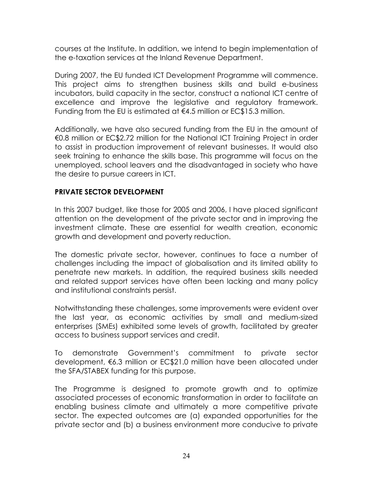courses at the Institute. In addition, we intend to begin implementation of the e-taxation services at the Inland Revenue Department.

During 2007, the EU funded ICT Development Programme will commence. This project aims to strengthen business skills and build e-business incubators, build capacity in the sector, construct a national ICT centre of excellence and improve the legislative and regulatory framework. Funding from the EU is estimated at  $\epsilon$ 4.5 million or EC\$15.3 million.

Additionally, we have also secured funding from the EU in the amount of €0.8 million or EC\$2.72 million for the National ICT Training Project in order to assist in production improvement of relevant businesses. It would also seek training to enhance the skills base. This programme will focus on the unemployed, school leavers and the disadvantaged in society who have the desire to pursue careers in ICT.

#### **PRIVATE SECTOR DEVELOPMENT**

In this 2007 budget, like those for 2005 and 2006, I have placed significant attention on the development of the private sector and in improving the investment climate. These are essential for wealth creation, economic growth and development and poverty reduction.

The domestic private sector, however, continues to face a number of challenges including the impact of globalisation and its limited ability to penetrate new markets. In addition, the required business skills needed and related support services have often been lacking and many policy and institutional constraints persist.

Notwithstanding these challenges, some improvements were evident over the last year, as economic activities by small and medium-sized enterprises (SMEs) exhibited some levels of growth, facilitated by greater access to business support services and credit.

To demonstrate Government's commitment to private sector development, €6.3 million or EC\$21.0 million have been allocated under the SFA/STABEX funding for this purpose.

The Programme is designed to promote growth and to optimize associated processes of economic transformation in order to facilitate an enabling business climate and ultimately a more competitive private sector. The expected outcomes are (a) expanded opportunities for the private sector and (b) a business environment more conducive to private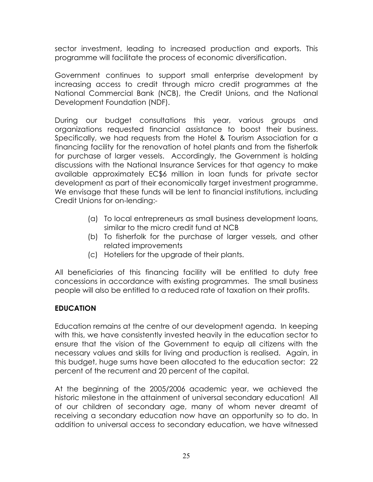sector investment, leading to increased production and exports. This programme will facilitate the process of economic diversification.

Government continues to support small enterprise development by increasing access to credit through micro credit programmes at the National Commercial Bank (NCB), the Credit Unions, and the National Development Foundation (NDF).

During our budget consultations this year, various groups and organizations requested financial assistance to boost their business. Specifically, we had requests from the Hotel & Tourism Association for a financing facility for the renovation of hotel plants and from the fisherfolk for purchase of larger vessels. Accordingly, the Government is holding discussions with the National Insurance Services for that agency to make available approximately EC\$6 million in loan funds for private sector development as part of their economically target investment programme. We envisage that these funds will be lent to financial institutions, including Credit Unions for on-lending:-

- (a) To local entrepreneurs as small business development loans, similar to the micro credit fund at NCB
- (b) To fisherfolk for the purchase of larger vessels, and other related improvements
- (c) Hoteliers for the upgrade of their plants.

All beneficiaries of this financing facility will be entitled to duty free concessions in accordance with existing programmes. The small business people will also be entitled to a reduced rate of taxation on their profits.

#### **EDUCATION**

Education remains at the centre of our development agenda. In keeping with this, we have consistently invested heavily in the education sector to ensure that the vision of the Government to equip all citizens with the necessary values and skills for living and production is realised. Again, in this budget, huge sums have been allocated to the education sector: 22 percent of the recurrent and 20 percent of the capital.

At the beginning of the 2005/2006 academic year, we achieved the historic milestone in the attainment of universal secondary education! All of our children of secondary age, many of whom never dreamt of receiving a secondary education now have an opportunity so to do. In addition to universal access to secondary education, we have witnessed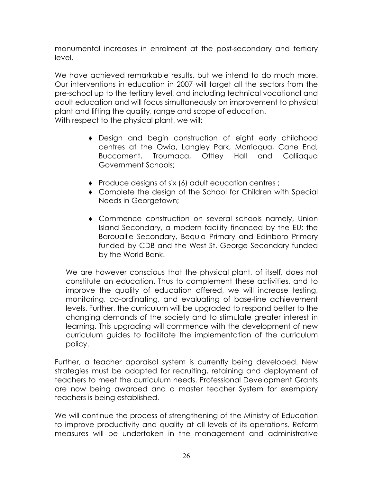monumental increases in enrolment at the post-secondary and tertiary level.

We have achieved remarkable results, but we intend to do much more. Our interventions in education in 2007 will target all the sectors from the pre-school up to the tertiary level, and including technical vocational and adult education and will focus simultaneously on improvement to physical plant and lifting the quality, range and scope of education.

With respect to the physical plant, we will:

- Design and begin construction of eight early childhood ♦ centres at the Owia, Langley Park, Marriaqua, Cane End, Buccament, Troumaca, Ottley Hall and Calliaqua Government Schools;
- ♦ Produce designs of six (6) adult education centres ;
- ♦ Complete the design of the School for Children with Special Needs in Georgetown;
- ♦ Commence construction on several schools namely, Union Island Secondary, a modern facility financed by the EU; the Barouallie Secondary, Bequia Primary and Edinboro Primary funded by CDB and the West St. George Secondary funded by the World Bank.

We are however conscious that the physical plant, of itself, does not constitute an education. Thus to complement these activities, and to improve the quality of education offered, we will increase testing, monitoring, co-ordinating, and evaluating of base-line achievement levels. Further, the curriculum will be upgraded to respond better to the changing demands of the society and to stimulate greater interest in learning. This upgrading will commence with the development of new curriculum guides to facilitate the implementation of the curriculum policy.

Further, a teacher appraisal system is currently being developed. New strategies must be adapted for recruiting, retaining and deployment of teachers to meet the curriculum needs. Professional Development Grants are now being awarded and a master teacher System for exemplary teachers is being established.

We will continue the process of strengthening of the Ministry of Education to improve productivity and quality at all levels of its operations. Reform measures will be undertaken in the management and administrative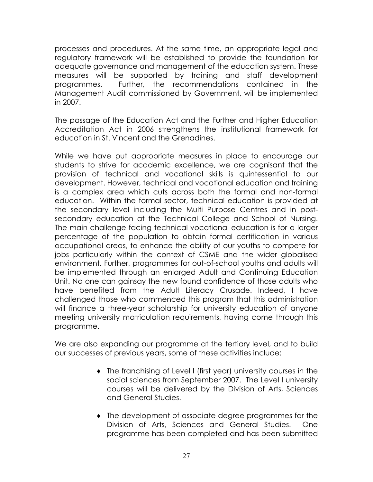processes and procedures. At the same time, an appropriate legal and regulatory framework will be established to provide the foundation for adequate governance and management of the education system. These measures will be supported by training and staff development programmes. Further, the recommendations contained in the Management Audit commissioned by Government, will be implemented in 2007.

The passage of the Education Act and the Further and Higher Education Accreditation Act in 2006 strengthens the institutional framework for education in St. Vincent and the Grenadines.

While we have put appropriate measures in place to encourage our students to strive for academic excellence, we are cognisant that the provision of technical and vocational skills is quintessential to our development. However, technical and vocational education and training is a complex area which cuts across both the formal and non-formal education. Within the formal sector, technical education is provided at the secondary level including the Multi Purpose Centres and in postsecondary education at the Technical College and School of Nursing. The main challenge facing technical vocational education is for a larger percentage of the population to obtain formal certification in various occupational areas, to enhance the ability of our youths to compete for jobs particularly within the context of CSME and the wider globalised environment. Further, programmes for out-of-school youths and adults will be implemented through an enlarged Adult and Continuing Education Unit. No one can gainsay the new found confidence of those adults who have benefited from the Adult Literacy Crusade. Indeed, I have challenged those who commenced this program that this administration will finance a three-year scholarship for university education of anyone meeting university matriculation requirements, having come through this programme.

We are also expanding our programme at the tertiary level, and to build our successes of previous years, some of these activities include:

- The franchising of Level I (first year) university courses in the ♦ social sciences from September 2007. The Level I university courses will be delivered by the Division of Arts, Sciences and General Studies.
- ♦ The development of associate degree programmes for the Division of Arts, Sciences and General Studies. One programme has been completed and has been submitted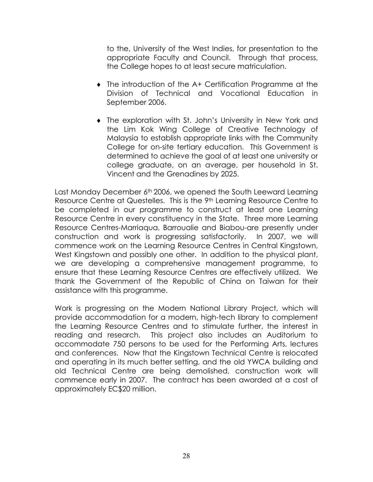to the, University of the West Indies, for presentation to the appropriate Faculty and Council. Through that process, the College hopes to at least secure matriculation.

- The introduction of the A+ Certification Programme at the Division of Technical and Vocational Education in September 2006.
- ♦ The exploration with St. John's University in New York and the Lim Kok Wing College of Creative Technology of Malaysia to establish appropriate links with the Community College for on-site tertiary education. This Government is determined to achieve the goal of at least one university or college graduate, on an average, per household in St. Vincent and the Grenadines by 2025.

Last Monday December 6<sup>th</sup> 2006, we opened the South Leeward Learning Resource Centre at Questelles. This is the 9<sup>th</sup> Learning Resource Centre to be completed in our programme to construct at least one Learning Resource Centre in every constituency in the State. Three more Learning Resource Centres-Marriaqua, Barroualie and Biabou-are presently under construction and work is progressing satisfactorily. In 2007, we will commence work on the Learning Resource Centres in Central Kingstown, West Kingstown and possibly one other. In addition to the physical plant, we are developing a comprehensive management programme, to ensure that these Learning Resource Centres are effectively utilized. We thank the Government of the Republic of China on Taiwan for their assistance with this programme.

Work is progressing on the Modern National Library Project, which will provide accommodation for a modern, high-tech library to complement the Learning Resource Centres and to stimulate further, the interest in reading and research. This project also includes an Auditorium to accommodate 750 persons to be used for the Performing Arts, lectures and conferences. Now that the Kingstown Technical Centre is relocated and operating in its much better setting, and the old YWCA building and old Technical Centre are being demolished, construction work will commence early in 2007. The contract has been awarded at a cost of approximately EC\$20 million.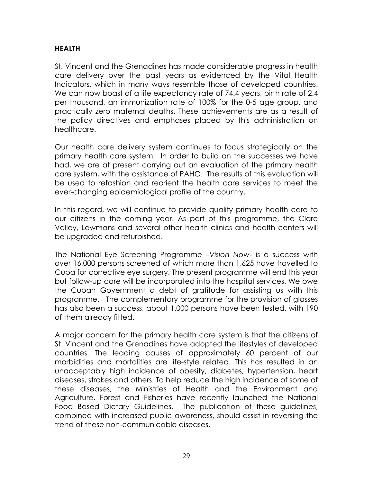#### **HEALTH**

St. Vincent and the Grenadines has made considerable progress in health care delivery over the past years as evidenced by the Vital Health Indicators, which in many ways resemble those of developed countries. We can now boast of a life expectancy rate of 74.4 years, birth rate of 2.4 per thousand, an immunization rate of 100% for the 0-5 age group, and practically zero maternal deaths. These achievements are as a result of the policy directives and emphases placed by this administration on healthcare.

Our health care delivery system continues to focus strategically on the primary health care system. In order to build on the successes we have had, we are at present carrying out an evaluation of the primary health care system, with the assistance of PAHO. The results of this evaluation will be used to refashion and reorient the health care services to meet the ever-changing epidemiological profile of the country.

In this regard, we will continue to provide quality primary health care to our citizens in the coming year. As part of this programme, the Clare Valley, Lowmans and several other health clinics and health centers will be upgraded and refurbished.

The National Eye Screening Programme –*Vision Now*- is a success with over 16,000 persons screened of which more than 1,625 have travelled to Cuba for corrective eye surgery. The present programme will end this year but follow-up care will be incorporated into the hospital services. We owe the Cuban Government a debt of gratitude for assisting us with this programme. The complementary programme for the provision of glasses has also been a success, about 1,000 persons have been tested, with 190 of them already fitted.

A major concern for the primary health care system is that the citizens of St. Vincent and the Grenadines have adopted the lifestyles of developed countries. The leading causes of approximately 60 percent of our morbidities and mortalities are life-style related. This has resulted in an unacceptably high incidence of obesity, diabetes, hypertension, heart diseases, strokes and others. To help reduce the high incidence of some of these diseases, the Ministries of Health and the Environment and Agriculture, Forest and Fisheries have recently launched the National Food Based Dietary Guidelines. The publication of these guidelines, combined with increased public awareness, should assist in reversing the trend of these non-communicable diseases.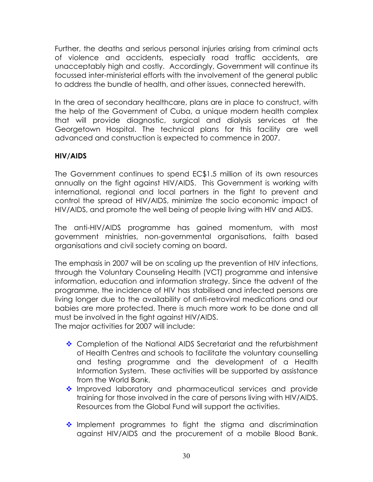Further, the deaths and serious personal injuries arising from criminal acts of violence and accidents, especially road traffic accidents, are unacceptably high and costly. Accordingly, Government will continue its focussed inter-ministerial efforts with the involvement of the general public to address the bundle of health, and other issues, connected herewith.

In the area of secondary healthcare, plans are in place to construct, with the help of the Government of Cuba, a unique modern health complex that will provide diagnostic, surgical and dialysis services at the Georgetown Hospital. The technical plans for this facility are well advanced and construction is expected to commence in 2007.

#### **HIV/AIDS**

The Government continues to spend EC\$1.5 million of its own resources annually on the fight against HIV/AIDS. This Government is working with international, regional and local partners in the fight to prevent and control the spread of HIV/AIDS, minimize the socio economic impact of HIV/AIDS, and promote the well being of people living with HIV and AIDS.

The anti-HIV/AIDS programme has gained momentum, with most government ministries, non-governmental organisations, faith based organisations and civil society coming on board.

The emphasis in 2007 will be on scaling up the prevention of HIV infections, through the Voluntary Counseling Health (VCT) programme and intensive information, education and information strategy. Since the advent of the programme, the incidence of HIV has stabilised and infected persons are living longer due to the availability of anti-retroviral medications and our babies are more protected. There is much more work to be done and all must be involved in the fight against HIV/AIDS.

The major activities for 2007 will include:

- ◆ Completion of the National AIDS Secretariat and the refurbishment of Health Centres and schools to facilitate the voluntary counselling and testing programme and the development of a Health Information System. These activities will be supported by assistance from the World Bank.
- \* Improved laboratory and pharmaceutical services and provide training for those involved in the care of persons living with HIV/AIDS. Resources from the Global Fund will support the activities.
- Implement programmes to fight the stigma and discrimination against HIV/AIDS and the procurement of a mobile Blood Bank.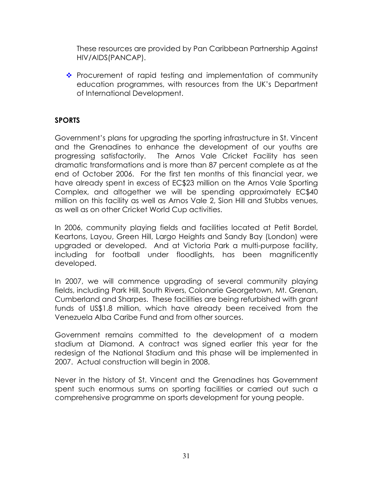These resources are provided by Pan Caribbean Partnership Against HIV/AIDS(PANCAP).

 $\cdot \cdot$  Procurement of rapid testing and implementation of community education programmes, with resources from the UK's Department of International Development.

#### **SPORTS**

Government's plans for upgrading the sporting infrastructure in St. Vincent and the Grenadines to enhance the development of our youths are progressing satisfactorily. The Arnos Vale Cricket Facility has seen dramatic transformations and is more than 87 percent complete as at the end of October 2006. For the first ten months of this financial year, we have already spent in excess of EC\$23 million on the Arnos Vale Sporting Complex, and altogether we will be spending approximately EC\$40 million on this facility as well as Arnos Vale 2, Sion Hill and Stubbs venues, as well as on other Cricket World Cup activities.

In 2006, community playing fields and facilities located at Petit Bordel, Keartons, Layou, Green Hill, Largo Heights and Sandy Bay (London) were upgraded or developed. And at Victoria Park a multi-purpose facility, including for football under floodlights, has been magnificently developed.

In 2007, we will commence upgrading of several community playing fields, including Park Hill, South Rivers, Colonarie Georgetown, Mt. Grenan, Cumberland and Sharpes. These facilities are being refurbished with grant funds of US\$1.8 million, which have already been received from the Venezuela Alba Caribe Fund and from other sources.

Government remains committed to the development of a modern stadium at Diamond. A contract was signed earlier this year for the redesign of the National Stadium and this phase will be implemented in 2007. Actual construction will begin in 2008.

Never in the history of St. Vincent and the Grenadines has Government spent such enormous sums on sporting facilities or carried out such a comprehensive programme on sports development for young people.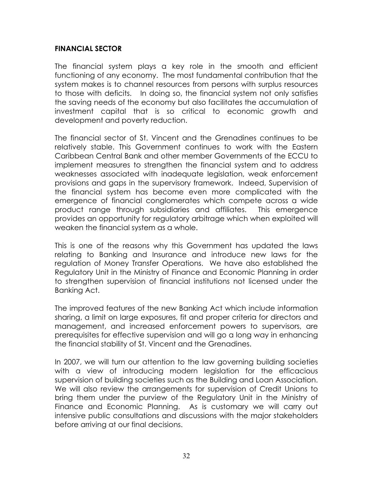#### **FINANCIAL SECTOR**

The financial system plays a key role in the smooth and efficient functioning of any economy. The most fundamental contribution that the system makes is to channel resources from persons with surplus resources to those with deficits. In doing so, the financial system not only satisfies the saving needs of the economy but also facilitates the accumulation of investment capital that is so critical to economic growth and development and poverty reduction.

The financial sector of St. Vincent and the Grenadines continues to be relatively stable. This Government continues to work with the Eastern Caribbean Central Bank and other member Governments of the ECCU to implement measures to strengthen the financial system and to address weaknesses associated with inadequate legislation, weak enforcement provisions and gaps in the supervisory framework. Indeed, Supervision of the financial system has become even more complicated with the emergence of financial conglomerates which compete across a wide product range through subsidiaries and affiliates. This emergence provides an opportunity for regulatory arbitrage which when exploited will weaken the financial system as a whole.

This is one of the reasons why this Government has updated the laws relating to Banking and Insurance and introduce new laws for the regulation of Money Transfer Operations. We have also established the Regulatory Unit in the Ministry of Finance and Economic Planning in order to strengthen supervision of financial institutions not licensed under the Banking Act.

The improved features of the new Banking Act which include information sharing, a limit on large exposures, fit and proper criteria for directors and management, and increased enforcement powers to supervisors, are prerequisites for effective supervision and will go a long way in enhancing the financial stability of St. Vincent and the Grenadines.

In 2007, we will turn our attention to the law governing building societies with a view of introducing modern legislation for the efficacious supervision of building societies such as the Building and Loan Association. We will also review the arrangements for supervision of Credit Unions to bring them under the purview of the Regulatory Unit in the Ministry of Finance and Economic Planning. As is customary we will carry out intensive public consultations and discussions with the major stakeholders before arriving at our final decisions.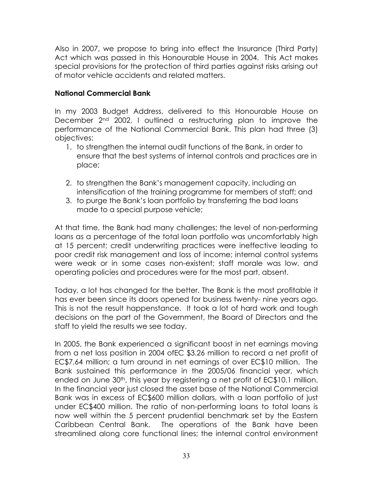Also in 2007, we propose to bring into effect the Insurance (Third Party) Act which was passed in this Honourable House in 2004. This Act makes special provisions for the protection of third parties against risks arising out of motor vehicle accidents and related matters.

#### **National Commercial Bank**

In my 2003 Budget Address, delivered to this Honourable House on December 2nd 2002, I outlined a restructuring plan to improve the performance of the National Commercial Bank. This plan had three (3) objectives:

- 1. to strengthen the internal audit functions of the Bank, in order to ensure that the best systems of internal controls and practices are in place;
- 2. to strengthen the Bank's management capacity, including an intensification of the training programme for members of staff; and
- 3. to purge the Bank's loan portfolio by transferring the bad loans made to a special purpose vehicle;

At that time, the Bank had many challenges; the level of non-performing loans as a percentage of the total loan portfolio was uncomfortably high at 15 percent; credit underwriting practices were ineffective leading to poor credit risk management and loss of income; internal control systems were weak or in some cases non-existent; staff morale was low, and operating policies and procedures were for the most part, absent.

Today, a lot has changed for the better. The Bank is the most profitable it has ever been since its doors opened for business twenty- nine years ago. This is not the result happenstance. It took a lot of hard work and tough decisions on the part of the Government, the Board of Directors and the staff to yield the results we see today.

In 2005, the Bank experienced a significant boost in net earnings moving from a net loss position in 2004 ofEC \$3.26 million to record a net profit of EC\$7.64 million; a turn around in net earnings of over EC\$10 million. The Bank sustained this performance in the 2005/06 financial year, which ended on June 30<sup>th</sup>, this year by registering a net profit of EC\$10.1 million. In the financial year just closed the asset base of the National Commercial Bank was in excess of EC\$600 million dollars, with a loan portfolio of just under EC\$400 million. The ratio of non-performing loans to total loans is now well within the 5 percent prudential benchmark set by the Eastern Caribbean Central Bank. The operations of the Bank have been streamlined along core functional lines; the internal control environment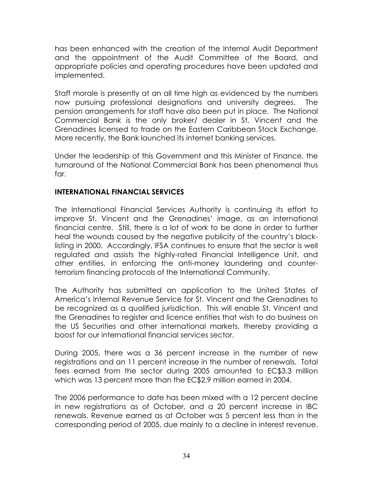has been enhanced with the creation of the Internal Audit Department and the appointment of the Audit Committee of the Board, and appropriate policies and operating procedures have been updated and implemented.

Staff morale is presently at an all time high as evidenced by the numbers now pursuing professional designations and university degrees. The pension arrangements for staff have also been put in place. The National Commercial Bank is the only broker/ dealer in St. Vincent and the Grenadines licensed to trade on the Eastern Caribbean Stock Exchange. More recently, the Bank launched its internet banking services.

Under the leadership of this Government and this Minister of Finance, the turnaround of the National Commercial Bank has been phenomenal thus far.

#### **INTERNATIONAL FINANCIAL SERVICES**

The International Financial Services Authority is continuing its effort to improve St. Vincent and the Grenadines' image, as an international financial centre. Still, there is a lot of work to be done in order to further heal the wounds caused by the negative publicity of the country's blacklisting in 2000. Accordingly, IFSA continues to ensure that the sector is well regulated and assists the highly-rated Financial Intelligence Unit, and other entities, in enforcing the anti-money laundering and counterterrorism financing protocols of the International Community.

The Authority has submitted an application to the United States of America's Internal Revenue Service for St. Vincent and the Grenadines to be recognized as a qualified jurisdiction. This will enable St. Vincent and the Grenadines to register and licence entities that wish to do business on the US Securities and other international markets, thereby providing a boost for our international financial services sector.

During 2005, there was a 36 percent increase in the number of new registrations and an 11 percent increase in the number of renewals. Total fees earned from the sector during 2005 amounted to EC\$3.3 million which was 13 percent more than the EC\$2.9 million earned in 2004.

The 2006 performance to date has been mixed with a 12 percent decline in new registrations as of October, and a 20 percent increase in IBC renewals. Revenue earned as at October was 5 percent less than in the corresponding period of 2005, due mainly to a decline in interest revenue.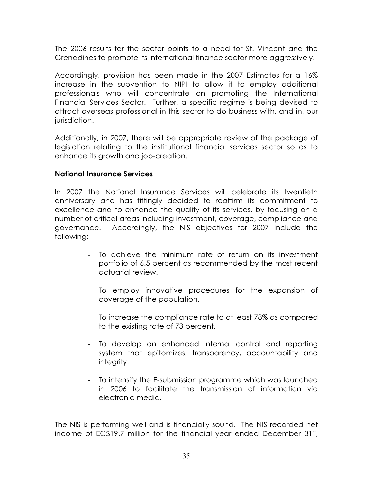The 2006 results for the sector points to a need for St. Vincent and the Grenadines to promote its international finance sector more aggressively.

Accordingly, provision has been made in the 2007 Estimates for a 16% increase in the subvention to NIPI to allow it to employ additional professionals who will concentrate on promoting the International Financial Services Sector. Further, a specific regime is being devised to attract overseas professional in this sector to do business with, and in, our jurisdiction.

Additionally, in 2007, there will be appropriate review of the package of legislation relating to the institutional financial services sector so as to enhance its growth and job-creation.

#### **National Insurance Services**

In 2007 the National Insurance Services will celebrate its twentieth anniversary and has fittingly decided to reaffirm its commitment to excellence and to enhance the quality of its services, by focusing on a number of critical areas including investment, coverage, compliance and governance. Accordingly, the NIS objectives for 2007 include the following:-

- To achieve the minimum rate of return on its investment portfolio of 6.5 percent as recommended by the most recent actuarial review.
- To employ innovative procedures for the expansion of coverage of the population.
- To increase the compliance rate to at least 78% as compared to the existing rate of 73 percent.
- To develop an enhanced internal control and reporting system that epitomizes, transparency, accountability and integrity.
- To intensify the E-submission programme which was launched in 2006 to facilitate the transmission of information via electronic media.

The NIS is performing well and is financially sound. The NIS recorded net income of EC\$19.7 million for the financial year ended December 31st,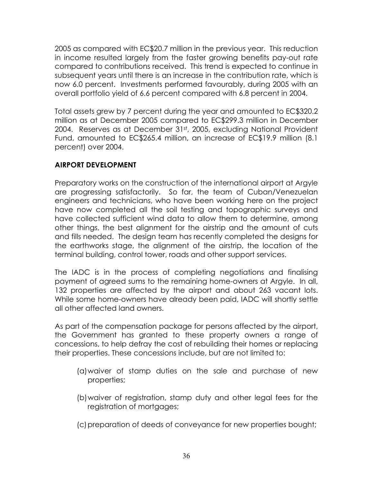2005 as compared with EC\$20.7 million in the previous year. This reduction in income resulted largely from the faster growing benefits pay-out rate compared to contributions received. This trend is expected to continue in subsequent years until there is an increase in the contribution rate, which is now 6.0 percent. Investments performed favourably, during 2005 with an overall portfolio yield of 6.6 percent compared with 6.8 percent in 2004.

Total assets grew by 7 percent during the year and amounted to EC\$320.2 million as at December 2005 compared to EC\$299.3 million in December 2004. Reserves as at December 31st, 2005, excluding National Provident Fund, amounted to EC\$265.4 million, an increase of EC\$19.9 million (8.1 percent) over 2004.

#### **AIRPORT DEVELOPMENT**

Preparatory works on the construction of the international airport at Argyle are progressing satisfactorily. So far, the team of Cuban/Venezuelan engineers and technicians, who have been working here on the project have now completed all the soil testing and topographic surveys and have collected sufficient wind data to allow them to determine, among other things, the best alignment for the airstrip and the amount of cuts and fills needed. The design team has recently completed the designs for the earthworks stage, the alignment of the airstrip, the location of the terminal building, control tower, roads and other support services.

The IADC is in the process of completing negotiations and finalising payment of agreed sums to the remaining home-owners at Argyle. In all, 132 properties are affected by the airport and about 263 vacant lots. While some home-owners have already been paid, IADC will shortly settle all other affected land owners.

As part of the compensation package for persons affected by the airport, the Government has granted to these property owners a range of concessions, to help defray the cost of rebuilding their homes or replacing their properties. These concessions include, but are not limited to:

- (a)waiver of stamp duties on the sale and purchase of new properties;
- (b) waiver of registration, stamp duty and other legal fees for the registration of mortgages;
- (c) preparation of deeds of conveyance for new properties bought;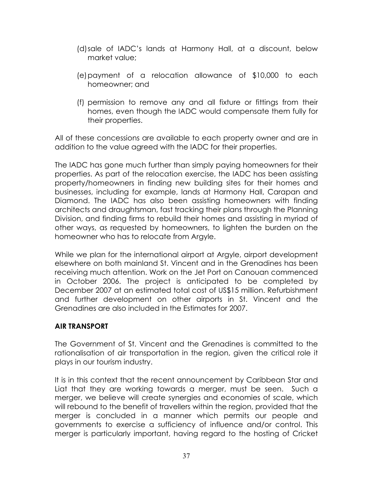- (d)sale of IADC's lands at Harmony Hall, at a discount, below market value;
- (e) payment of a relocation allowance of \$10,000 to each homeowner; and
- (f) permission to remove any and all fixture or fittings from their homes, even though the IADC would compensate them fully for their properties.

All of these concessions are available to each property owner and are in addition to the value agreed with the IADC for their properties.

The IADC has gone much further than simply paying homeowners for their properties. As part of the relocation exercise, the IADC has been assisting property/homeowners in finding new building sites for their homes and businesses, including for example, lands at Harmony Hall, Carapan and Diamond. The IADC has also been assisting homeowners with finding architects and draughtsman, fast tracking their plans through the Planning Division, and finding firms to rebuild their homes and assisting in myriad of other ways, as requested by homeowners, to lighten the burden on the homeowner who has to relocate from Argyle.

While we plan for the international airport at Argyle, airport development elsewhere on both mainland St. Vincent and in the Grenadines has been receiving much attention. Work on the Jet Port on Canouan commenced in October 2006. The project is anticipated to be completed by December 2007 at an estimated total cost of US\$15 million. Refurbishment and further development on other airports in St. Vincent and the Grenadines are also included in the Estimates for 2007.

#### **AIR TRANSPORT**

The Government of St. Vincent and the Grenadines is committed to the rationalisation of air transportation in the region, given the critical role it plays in our tourism industry.

It is in this context that the recent announcement by Caribbean Star and Liat that they are working towards a merger, must be seen. Such a merger, we believe will create synergies and economies of scale, which will rebound to the benefit of travellers within the region, provided that the merger is concluded in a manner which permits our people and governments to exercise a sufficiency of influence and/or control. This merger is particularly important, having regard to the hosting of Cricket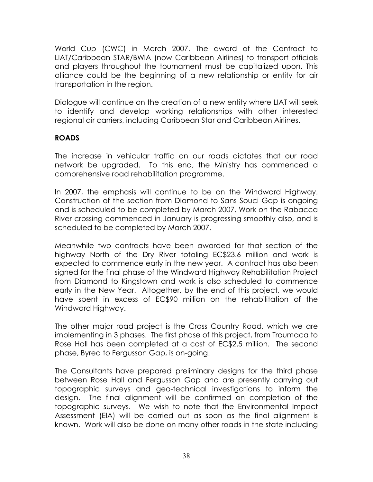World Cup (CWC) in March 2007. The award of the Contract to LIAT/Caribbean STAR/BWIA (now Caribbean Airlines) to transport officials and players throughout the tournament must be capitalized upon. This alliance could be the beginning of a new relationship or entity for air transportation in the region.

Dialogue will continue on the creation of a new entity where LIAT will seek to identify and develop working relationships with other interested regional air carriers, including Caribbean Star and Caribbean Airlines.

#### **ROADS**

The increase in vehicular traffic on our roads dictates that our road network be upgraded. To this end, the Ministry has commenced a comprehensive road rehabilitation programme.

In 2007, the emphasis will continue to be on the Windward Highway. Construction of the section from Diamond to Sans Souci Gap is ongoing and is scheduled to be completed by March 2007. Work on the Rabacca River crossing commenced in January is progressing smoothly also, and is scheduled to be completed by March 2007.

Meanwhile two contracts have been awarded for that section of the highway North of the Dry River totaling EC\$23.6 million and work is expected to commence early in the new year. A contract has also been signed for the final phase of the Windward Highway Rehabilitation Project from Diamond to Kingstown and work is also scheduled to commence early in the New Year. Altogether, by the end of this project, we would have spent in excess of EC\$90 million on the rehabilitation of the Windward Highway.

The other major road project is the Cross Country Road, which we are implementing in 3 phases. The first phase of this project, from Troumaca to Rose Hall has been completed at a cost of EC\$2.5 million. The second phase, Byrea to Fergusson Gap, is on-going.

The Consultants have prepared preliminary designs for the third phase between Rose Hall and Fergusson Gap and are presently carrying out topographic surveys and geo-technical investigations to inform the design. The final alignment will be confirmed on completion of the topographic surveys. We wish to note that the Environmental Impact Assessment (EIA) will be carried out as soon as the final alignment is known. Work will also be done on many other roads in the state including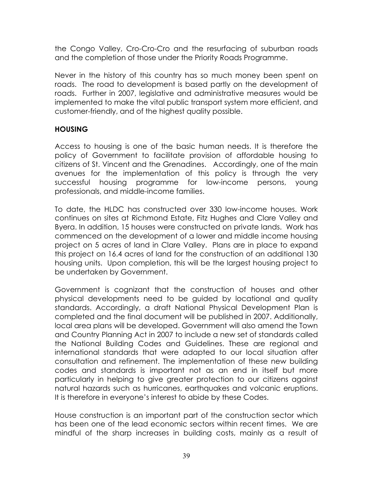the Congo Valley, Cro-Cro-Cro and the resurfacing of suburban roads and the completion of those under the Priority Roads Programme.

Never in the history of this country has so much money been spent on roads. The road to development is based partly on the development of roads. Further in 2007, legislative and administrative measures would be implemented to make the vital public transport system more efficient, and customer-friendly, and of the highest quality possible.

#### **HOUSING**

Access to housing is one of the basic human needs. It is therefore the policy of Government to facilitate provision of affordable housing to citizens of St. Vincent and the Grenadines. Accordingly, one of the main avenues for the implementation of this policy is through the very successful housing programme for low-income persons, young professionals, and middle-income families.

To date, the HLDC has constructed over 330 low-income houses. Work continues on sites at Richmond Estate, Fitz Hughes and Clare Valley and Byera. In addition, 15 houses were constructed on private lands. Work has commenced on the development of a lower and middle income housing project on 5 acres of land in Clare Valley. Plans are in place to expand this project on 16.4 acres of land for the construction of an additional 130 housing units. Upon completion, this will be the largest housing project to be undertaken by Government.

Government is cognizant that the construction of houses and other physical developments need to be guided by locational and quality standards. Accordingly, a draft National Physical Development Plan is completed and the final document will be published in 2007. Additionally, local area plans will be developed. Government will also amend the Town and Country Planning Act in 2007 to include a new set of standards called the National Building Codes and Guidelines. These are regional and international standards that were adapted to our local situation after consultation and refinement. The implementation of these new building codes and standards is important not as an end in itself but more particularly in helping to give greater protection to our citizens against natural hazards such as hurricanes, earthquakes and volcanic eruptions. It is therefore in everyone's interest to abide by these Codes.

House construction is an important part of the construction sector which has been one of the lead economic sectors within recent times. We are mindful of the sharp increases in building costs, mainly as a result of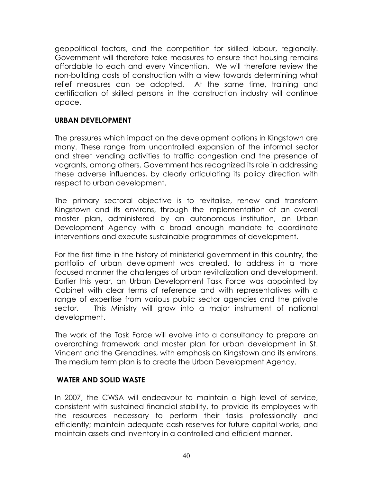geopolitical factors, and the competition for skilled labour, regionally. Government will therefore take measures to ensure that housing remains affordable to each and every Vincentian. We will therefore review the non-building costs of construction with a view towards determining what relief measures can be adopted. At the same time, training and certification of skilled persons in the construction industry will continue apace.

#### **URBAN DEVELOPMENT**

The pressures which impact on the development options in Kingstown are many. These range from uncontrolled expansion of the informal sector and street vending activities to traffic congestion and the presence of vagrants, among others. Government has recognized its role in addressing these adverse influences, by clearly articulating its policy direction with respect to urban development.

The primary sectoral objective is to revitalise, renew and transform Kingstown and its environs, through the implementation of an overall master plan, administered by an autonomous institution, an Urban Development Agency with a broad enough mandate to coordinate interventions and execute sustainable programmes of development.

For the first time in the history of ministerial government in this country, the portfolio of urban development was created, to address in a more focused manner the challenges of urban revitalization and development. Earlier this year, an Urban Development Task Force was appointed by Cabinet with clear terms of reference and with representatives with a range of expertise from various public sector agencies and the private sector. This Ministry will grow into a major instrument of national development.

The work of the Task Force will evolve into a consultancy to prepare an overarching framework and master plan for urban development in St. Vincent and the Grenadines, with emphasis on Kingstown and its environs. The medium term plan is to create the Urban Development Agency.

#### **WATER AND SOLID WASTE**

In 2007, the CWSA will endeavour to maintain a high level of service, consistent with sustained financial stability, to provide its employees with the resources necessary to perform their tasks professionally and efficiently; maintain adequate cash reserves for future capital works, and maintain assets and inventory in a controlled and efficient manner.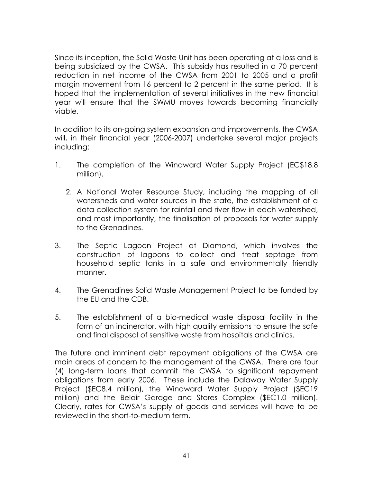Since its inception, the Solid Waste Unit has been operating at a loss and is being subsidized by the CWSA. This subsidy has resulted in a 70 percent reduction in net income of the CWSA from 2001 to 2005 and a profit margin movement from 16 percent to 2 percent in the same period. It is hoped that the implementation of several initiatives in the new financial year will ensure that the SWMU moves towards becoming financially viable.

In addition to its on-going system expansion and improvements, the CWSA will, in their financial year (2006-2007) undertake several major projects including:

- 1. The completion of the Windward Water Supply Project (EC\$18.8 million).
	- 2. A National Water Resource Study, including the mapping of all watersheds and water sources in the state, the establishment of a data collection system for rainfall and river flow in each watershed, and most importantly, the finalisation of proposals for water supply to the Grenadines.
- 3. The Septic Lagoon Project at Diamond, which involves the construction of lagoons to collect and treat septage from household septic tanks in a safe and environmentally friendly manner.
- 4. The Grenadines Solid Waste Management Project to be funded by the EU and the CDB.
- 5. The establishment of a bio-medical waste disposal facility in the form of an incinerator, with high quality emissions to ensure the safe and final disposal of sensitive waste from hospitals and clinics.

The future and imminent debt repayment obligations of the CWSA are main areas of concern to the management of the CWSA. There are four (4) long-term loans that commit the CWSA to significant repayment obligations from early 2006. These include the Dalaway Water Supply Project (\$EC8.4 million), the Windward Water Supply Project (\$EC19 million) and the Belair Garage and Stores Complex (\$EC1.0 million). Clearly, rates for CWSA's supply of goods and services will have to be reviewed in the short-to-medium term.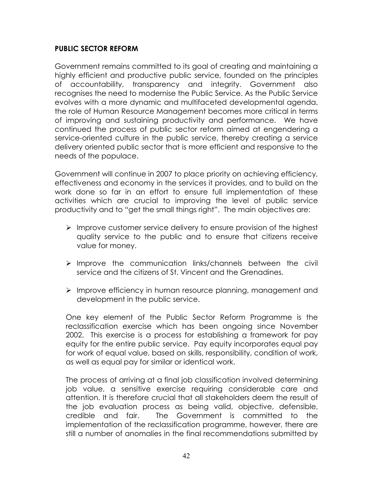#### **PUBLIC SECTOR REFORM**

Government remains committed to its goal of creating and maintaining a highly efficient and productive public service, founded on the principles of accountability, transparency and integrity. Government also recognises the need to modernise the Public Service. As the Public Service evolves with a more dynamic and multifaceted developmental agenda, the role of Human Resource Management becomes more critical in terms of improving and sustaining productivity and performance. We have continued the process of public sector reform aimed at engendering a service-oriented culture in the public service, thereby creating a service delivery oriented public sector that is more efficient and responsive to the needs of the populace.

Government will continue in 2007 to place priority on achieving efficiency, effectiveness and economy in the services it provides, and to build on the work done so far in an effort to ensure full implementation of these activities which are crucial to improving the level of public service productivity and to "get the small things right". The main objectives are:

- $\triangleright$  Improve customer service delivery to ensure provision of the highest quality service to the public and to ensure that citizens receive value for money.
- $\triangleright$  Improve the communication links/channels between the civil service and the citizens of St. Vincent and the Grenadines.
- ¾ Improve efficiency in human resource planning, management and development in the public service.

One key element of the Public Sector Reform Programme is the reclassification exercise which has been ongoing since November 2002. This exercise is a process for establishing a framework for pay equity for the entire public service. Pay equity incorporates equal pay for work of equal value, based on skills, responsibility, condition of work, as well as equal pay for similar or identical work.

The process of arriving at a final job classification involved determining job value, a sensitive exercise requiring considerable care and attention. It is therefore crucial that all stakeholders deem the result of the job evaluation process as being valid, objective, defensible, credible and fair. The Government is committed to the implementation of the reclassification programme, however, there are still a number of anomalies in the final recommendations submitted by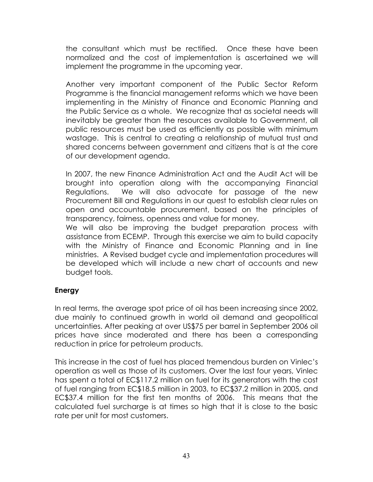the consultant which must be rectified. Once these have been normalized and the cost of implementation is ascertained we will implement the programme in the upcoming year.

Another very important component of the Public Sector Reform Programme is the financial management reforms which we have been implementing in the Ministry of Finance and Economic Planning and the Public Service as a whole. We recognize that as societal needs will inevitably be greater than the resources available to Government, all public resources must be used as efficiently as possible with minimum wastage. This is central to creating a relationship of mutual trust and shared concerns between government and citizens that is at the core of our development agenda.

In 2007, the new Finance Administration Act and the Audit Act will be brought into operation along with the accompanying Financial Regulations. We will also advocate for passage of the new Procurement Bill and Regulations in our quest to establish clear rules on open and accountable procurement, based on the principles of transparency, fairness, openness and value for money.

We will also be improving the budget preparation process with assistance from ECEMP. Through this exercise we aim to build capacity with the Ministry of Finance and Economic Planning and in line ministries. A Revised budget cycle and implementation procedures will be developed which will include a new chart of accounts and new budget tools.

#### **Energy**

In real terms, the average spot price of oil has been increasing since 2002, due mainly to continued growth in world oil demand and geopolitical uncertainties. After peaking at over US\$75 per barrel in September 2006 oil prices have since moderated and there has been a corresponding reduction in price for petroleum products.

This increase in the cost of fuel has placed tremendous burden on Vinlec's operation as well as those of its customers. Over the last four years, Vinlec has spent a total of EC\$117.2 million on fuel for its generators with the cost of fuel ranging from EC\$18.5 million in 2003, to EC\$37.2 million in 2005, and EC\$37.4 million for the first ten months of 2006. This means that the calculated fuel surcharge is at times so high that it is close to the basic rate per unit for most customers.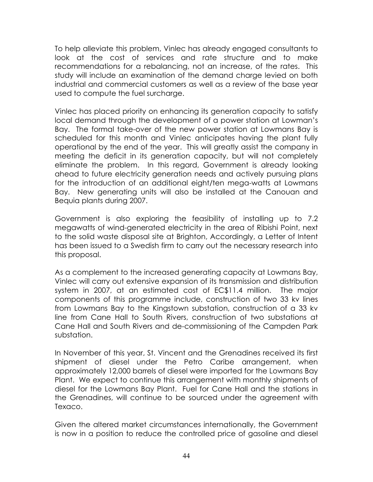To help alleviate this problem, Vinlec has already engaged consultants to look at the cost of services and rate structure and to make recommendations for a rebalancing, not an increase, of the rates. This study will include an examination of the demand charge levied on both industrial and commercial customers as well as a review of the base year used to compute the fuel surcharge.

Vinlec has placed priority on enhancing its generation capacity to satisfy local demand through the development of a power station at Lowman's Bay. The formal take-over of the new power station at Lowmans Bay is scheduled for this month and Vinlec anticipates having the plant fully operational by the end of the year. This will greatly assist the company in meeting the deficit in its generation capacity, but will not completely eliminate the problem. In this regard, Government is already looking ahead to future electricity generation needs and actively pursuing plans for the introduction of an additional eight/ten mega-watts at Lowmans Bay. New generating units will also be installed at the Canouan and Bequia plants during 2007.

Government is also exploring the feasibility of installing up to 7.2 megawatts of wind-generated electricity in the area of Ribishi Point, next to the solid waste disposal site at Brighton, Accordingly, a Letter of Intent has been issued to a Swedish firm to carry out the necessary research into this proposal.

As a complement to the increased generating capacity at Lowmans Bay, Vinlec will carry out extensive expansion of its transmission and distribution system in 2007, at an estimated cost of EC\$11.4 million. The major components of this programme include, construction of two 33 kv lines from Lowmans Bay to the Kingstown substation, construction of a 33 kv line from Cane Hall to South Rivers, construction of two substations at Cane Hall and South Rivers and de-commissioning of the Campden Park substation.

In November of this year, St. Vincent and the Grenadines received its first shipment of diesel under the Petro Caribe arrangement, when approximately 12,000 barrels of diesel were imported for the Lowmans Bay Plant. We expect to continue this arrangement with monthly shipments of diesel for the Lowmans Bay Plant. Fuel for Cane Hall and the stations in the Grenadines, will continue to be sourced under the agreement with Texaco.

Given the altered market circumstances internationally, the Government is now in a position to reduce the controlled price of gasoline and diesel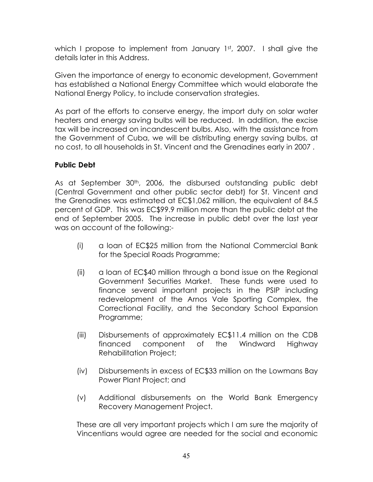which I propose to implement from January 1st, 2007. I shall give the details later in this Address.

Given the importance of energy to economic development, Government has established a National Energy Committee which would elaborate the National Energy Policy, to include conservation strategies.

As part of the efforts to conserve energy, the import duty on solar water heaters and energy saving bulbs will be reduced. In addition, the excise tax will be increased on incandescent bulbs. Also, with the assistance from the Government of Cuba, we will be distributing energy saving bulbs, at no cost, to all households in St. Vincent and the Grenadines early in 2007 .

#### **Public Debt**

As at September 30<sup>th</sup>, 2006, the disbursed outstanding public debt (Central Government and other public sector debt) for St. Vincent and the Grenadines was estimated at EC\$1,062 million, the equivalent of 84.5 percent of GDP. This was EC\$99.9 million more than the public debt at the end of September 2005. The increase in public debt over the last year was on account of the following:-

- (i) a loan of EC\$25 million from the National Commercial Bank for the Special Roads Programme;
- (ii) a loan of EC\$40 million through a bond issue on the Regional Government Securities Market. These funds were used to finance several important projects in the PSIP including redevelopment of the Arnos Vale Sporting Complex, the Correctional Facility, and the Secondary School Expansion Programme;
- (iii) Disbursements of approximately EC\$11.4 million on the CDB financed component of the Windward Highway Rehabilitation Project;
- (iv) Disbursements in excess of EC\$33 million on the Lowmans Bay Power Plant Project; and
- (v) Additional disbursements on the World Bank Emergency Recovery Management Project.

These are all very important projects which I am sure the majority of Vincentians would agree are needed for the social and economic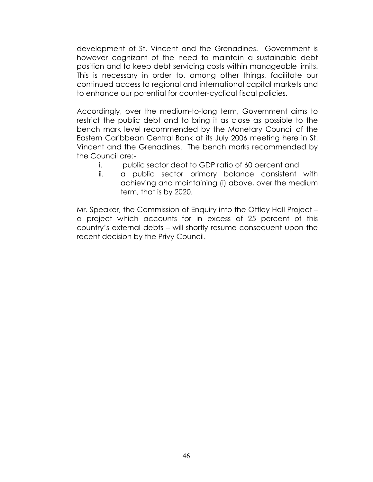development of St. Vincent and the Grenadines. Government is however cognizant of the need to maintain a sustainable debt position and to keep debt servicing costs within manageable limits. This is necessary in order to, among other things, facilitate our continued access to regional and international capital markets and to enhance our potential for counter-cyclical fiscal policies.

Accordingly, over the medium-to-long term, Government aims to restrict the public debt and to bring it as close as possible to the bench mark level recommended by the Monetary Council of the Eastern Caribbean Central Bank at its July 2006 meeting here in St. Vincent and the Grenadines. The bench marks recommended by the Council are:-

- i. public sector debt to GDP ratio of 60 percent and
- ii. a public sector primary balance consistent with achieving and maintaining (i) above, over the medium term, that is by 2020.

Mr. Speaker, the Commission of Enquiry into the Ottley Hall Project – a project which accounts for in excess of 25 percent of this country's external debts – will shortly resume consequent upon the recent decision by the Privy Council.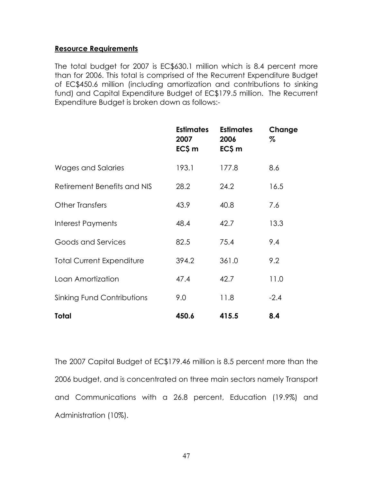#### **Resource Requirements**

The total budget for 2007 is EC\$630.1 million which is 8.4 percent more than for 2006. This total is comprised of the Recurrent Expenditure Budget of EC\$450.6 million (including amortization and contributions to sinking fund) and Capital Expenditure Budget of EC\$179.5 million. The Recurrent Expenditure Budget is broken down as follows:-

|                                  | <b>Estimates</b><br>2007<br>EC\$ m | <b>Estimates</b><br>2006<br>EC\$ m | Change<br>% |
|----------------------------------|------------------------------------|------------------------------------|-------------|
| Wages and Salaries               | 193.1                              | 177.8                              | 8.6         |
| Retirement Benefits and NIS      | 28.2                               | 24.2                               | 16.5        |
| <b>Other Transfers</b>           | 43.9                               | 40.8                               | 7.6         |
| Interest Payments                | 48.4                               | 42.7                               | 13.3        |
| Goods and Services               | 82.5                               | 75.4                               | 9.4         |
| <b>Total Current Expenditure</b> | 394.2                              | 361.0                              | 9.2         |
| Loan Amortization                | 47.4                               | 42.7                               | 11.0        |
| Sinking Fund Contributions       | 9.0                                | 11.8                               | $-2.4$      |
| Total                            | 450.6                              | 415.5                              | 8.4         |

The 2007 Capital Budget of EC\$179.46 million is 8.5 percent more than the 2006 budget, and is concentrated on three main sectors namely Transport and Communications with a 26.8 percent, Education (19.9%) and Administration (10%).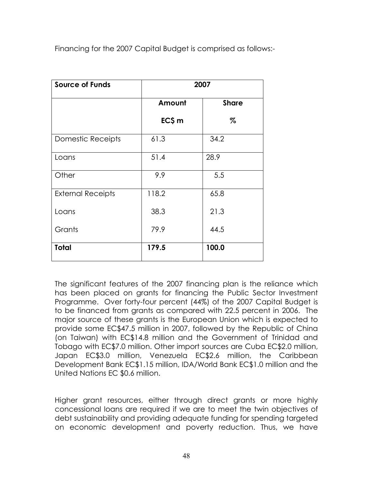Financing for the 2007 Capital Budget is comprised as follows:-

| <b>Source of Funds</b>   |        | 2007         |
|--------------------------|--------|--------------|
|                          | Amount | <b>Share</b> |
|                          | EC\$ m | $\%$         |
| <b>Domestic Receipts</b> | 61.3   | 34.2         |
| Loans                    | 51.4   | 28.9         |
| Other                    | 9.9    | 5.5          |
| <b>External Receipts</b> | 118.2  | 65.8         |
| Loans                    | 38.3   | 21.3         |
| Grants                   | 79.9   | 44.5         |
| <b>Total</b>             | 179.5  | 100.0        |

The significant features of the 2007 financing plan is the reliance which has been placed on grants for financing the Public Sector Investment Programme. Over forty-four percent (44%) of the 2007 Capital Budget is to be financed from grants as compared with 22.5 percent in 2006. The major source of these grants is the European Union which is expected to provide some EC\$47.5 million in 2007, followed by the Republic of China (on Taiwan) with EC\$14.8 million and the Government of Trinidad and Tobago with EC\$7.0 million. Other import sources are Cuba EC\$2.0 million, Japan EC\$3.0 million, Venezuela EC\$2.6 million, the Caribbean Development Bank EC\$1.15 million, IDA/World Bank EC\$1.0 million and the United Nations EC \$0.6 million.

Higher grant resources, either through direct grants or more highly concessional loans are required if we are to meet the twin objectives of debt sustainability and providing adequate funding for spending targeted on economic development and poverty reduction. Thus, we have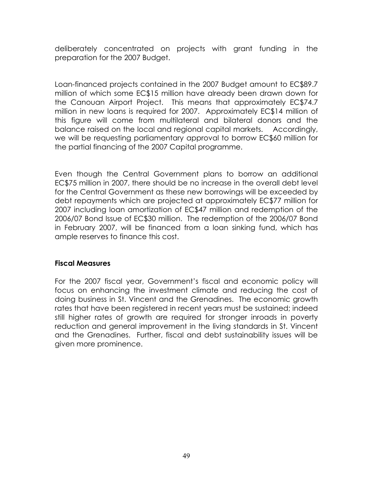deliberately concentrated on projects with grant funding in the preparation for the 2007 Budget.

Loan-financed projects contained in the 2007 Budget amount to EC\$89.7 million of which some EC\$15 million have already been drawn down for the Canouan Airport Project. This means that approximately EC\$74.7 million in new loans is required for 2007. Approximately EC\$14 million of this figure will come from multilateral and bilateral donors and the balance raised on the local and regional capital markets. Accordingly, we will be requesting parliamentary approval to borrow EC\$60 million for the partial financing of the 2007 Capital programme.

Even though the Central Government plans to borrow an additional EC\$75 million in 2007, there should be no increase in the overall debt level for the Central Government as these new borrowings will be exceeded by debt repayments which are projected at approximately EC\$77 million for 2007 including loan amortization of EC\$47 million and redemption of the 2006/07 Bond Issue of EC\$30 million. The redemption of the 2006/07 Bond in February 2007, will be financed from a loan sinking fund, which has ample reserves to finance this cost.

#### **Fiscal Measures**

For the 2007 fiscal year, Government's fiscal and economic policy will focus on enhancing the investment climate and reducing the cost of doing business in St. Vincent and the Grenadines. The economic growth rates that have been registered in recent years must be sustained; indeed still higher rates of growth are required for stronger inroads in poverty reduction and general improvement in the living standards in St. Vincent and the Grenadines. Further, fiscal and debt sustainability issues will be given more prominence.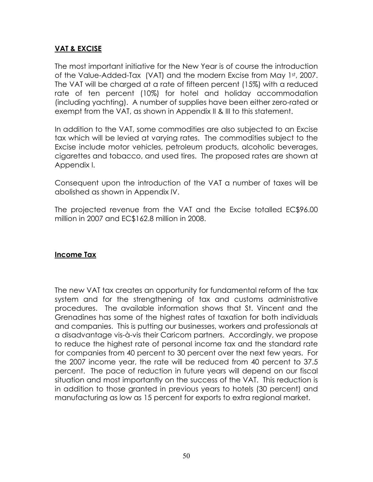#### **VAT & EXCISE**

The most important initiative for the New Year is of course the introduction of the Value-Added-Tax (VAT) and the modern Excise from May 1st, 2007. The VAT will be charged at a rate of fifteen percent (15%) with a reduced rate of ten percent (10%) for hotel and holiday accommodation (including yachting). A number of supplies have been either zero-rated or exempt from the VAT, as shown in Appendix II & III to this statement.

In addition to the VAT, some commodities are also subjected to an Excise tax which will be levied at varying rates. The commodities subject to the Excise include motor vehicles, petroleum products, alcoholic beverages, cigarettes and tobacco, and used tires. The proposed rates are shown at Appendix I.

Consequent upon the introduction of the VAT a number of taxes will be abolished as shown in Appendix IV.

The projected revenue from the VAT and the Excise totalled EC\$96.00 million in 2007 and EC\$162.8 million in 2008.

#### **Income Tax**

The new VAT tax creates an opportunity for fundamental reform of the tax system and for the strengthening of tax and customs administrative procedures. The available information shows that St. Vincent and the Grenadines has some of the highest rates of taxation for both individuals and companies. This is putting our businesses, workers and professionals at a disadvantage vis-à-vis their Caricom partners. Accordingly, we propose to reduce the highest rate of personal income tax and the standard rate for companies from 40 percent to 30 percent over the next few years. For the 2007 income year, the rate will be reduced from 40 percent to 37.5 percent. The pace of reduction in future years will depend on our fiscal situation and most importantly on the success of the VAT. This reduction is in addition to those granted in previous years to hotels (30 percent) and manufacturing as low as 15 percent for exports to extra regional market.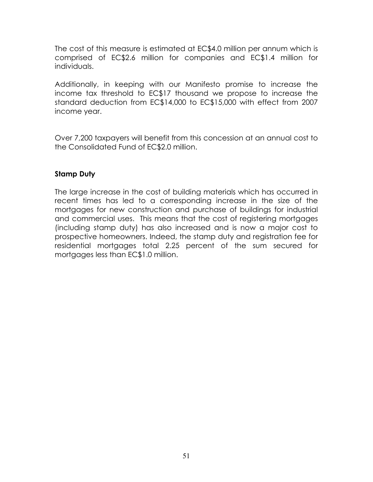The cost of this measure is estimated at EC\$4.0 million per annum which is comprised of EC\$2.6 million for companies and EC\$1.4 million for individuals.

Additionally, in keeping with our Manifesto promise to increase the income tax threshold to EC\$17 thousand we propose to increase the standard deduction from EC\$14,000 to EC\$15,000 with effect from 2007 income year.

Over 7,200 taxpayers will benefit from this concession at an annual cost to the Consolidated Fund of EC\$2.0 million.

#### **Stamp Duty**

The large increase in the cost of building materials which has occurred in recent times has led to a corresponding increase in the size of the mortgages for new construction and purchase of buildings for industrial and commercial uses. This means that the cost of registering mortgages (including stamp duty) has also increased and is now a major cost to prospective homeowners. Indeed, the stamp duty and registration fee for residential mortgages total 2.25 percent of the sum secured for mortgages less than EC\$1.0 million.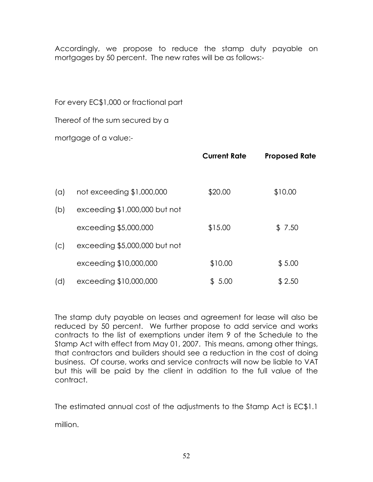Accordingly, we propose to reduce the stamp duty payable on mortgages by 50 percent. The new rates will be as follows:-

For every EC\$1,000 or fractional part

Thereof of the sum secured by a

mortgage of a value:-

|     |                               | <b>Current Rate</b> | <b>Proposed Rate</b> |
|-----|-------------------------------|---------------------|----------------------|
| (a) | not exceeding \$1,000,000     | \$20.00             | \$10.00              |
| (b) | exceeding \$1,000,000 but not |                     |                      |
|     | exceeding \$5,000,000         | \$15.00             | \$7.50               |
| (C) | exceeding \$5,000,000 but not |                     |                      |
|     | exceeding \$10,000,000        | \$10.00             | \$5.00               |
| (d) | exceeding \$10,000,000        | \$5.00              | \$2.50               |

The stamp duty payable on leases and agreement for lease will also be reduced by 50 percent. We further propose to add service and works contracts to the list of exemptions under item 9 of the Schedule to the Stamp Act with effect from May 01, 2007. This means, among other things, that contractors and builders should see a reduction in the cost of doing business. Of course, works and service contracts will now be liable to VAT but this will be paid by the client in addition to the full value of the contract.

The estimated annual cost of the adjustments to the Stamp Act is EC\$1.1

million.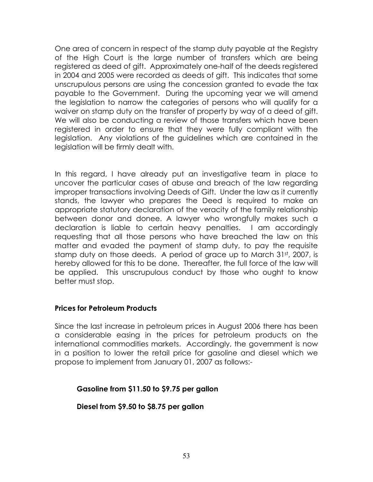One area of concern in respect of the stamp duty payable at the Registry of the High Court is the large number of transfers which are being registered as deed of gift. Approximately one-half of the deeds registered in 2004 and 2005 were recorded as deeds of gift. This indicates that some unscrupulous persons are using the concession granted to evade the tax payable to the Government. During the upcoming year we will amend the legislation to narrow the categories of persons who will qualify for a waiver on stamp duty on the transfer of property by way of a deed of gift. We will also be conducting a review of those transfers which have been registered in order to ensure that they were fully compliant with the legislation. Any violations of the guidelines which are contained in the legislation will be firmly dealt with.

In this regard, I have already put an investigative team in place to uncover the particular cases of abuse and breach of the law regarding improper transactions involving Deeds of Gift. Under the law as it currently stands, the lawyer who prepares the Deed is required to make an appropriate statutory declaration of the veracity of the family relationship between donor and donee. A lawyer who wrongfully makes such a declaration is liable to certain heavy penalties. I am accordingly requesting that all those persons who have breached the law on this matter and evaded the payment of stamp duty, to pay the requisite stamp duty on those deeds. A period of grace up to March 31st, 2007, is hereby allowed for this to be done. Thereafter, the full force of the law will be applied. This unscrupulous conduct by those who ought to know better must stop.

#### **Prices for Petroleum Products**

Since the last increase in petroleum prices in August 2006 there has been a considerable easing in the prices for petroleum products on the international commodities markets. Accordingly, the government is now in a position to lower the retail price for gasoline and diesel which we propose to implement from January 01, 2007 as follows:-

#### **Gasoline from \$11.50 to \$9.75 per gallon**

**Diesel from \$9.50 to \$8.75 per gallon**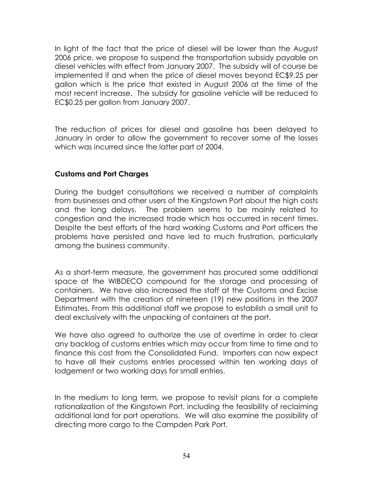In light of the fact that the price of diesel will be lower than the August 2006 price, we propose to suspend the transportation subsidy payable on diesel vehicles with effect from January 2007. The subsidy will of course be implemented if and when the price of diesel moves beyond EC\$9.25 per gallon which is the price that existed in August 2006 at the time of the most recent increase. The subsidy for gasoline vehicle will be reduced to EC\$0.25 per gallon from January 2007.

The reduction of prices for diesel and gasoline has been delayed to January in order to allow the government to recover some of the losses which was incurred since the latter part of 2004.

#### **Customs and Port Charges**

During the budget consultations we received a number of complaints from businesses and other users of the Kingstown Port about the high costs and the long delays. The problem seems to be mainly related to congestion and the increased trade which has occurred in recent times. Despite the best efforts of the hard working Customs and Port officers the problems have persisted and have led to much frustration, particularly among the business community.

As a short-term measure, the government has procured some additional space at the WIBDECO compound for the storage and processing of containers. We have also increased the staff at the Customs and Excise Department with the creation of nineteen (19) new positions in the 2007 Estimates. From this additional staff we propose to establish a small unit to deal exclusively with the unpacking of containers at the port.

We have also agreed to authorize the use of overtime in order to clear any backlog of customs entries which may occur from time to time and to finance this cost from the Consolidated Fund. Importers can now expect to have all their customs entries processed within ten working days of lodgement or two working days for small entries.

In the medium to long term, we propose to revisit plans for a complete rationalization of the Kingstown Port, including the feasibility of reclaiming additional land for port operations. We will also examine the possibility of directing more cargo to the Campden Park Port.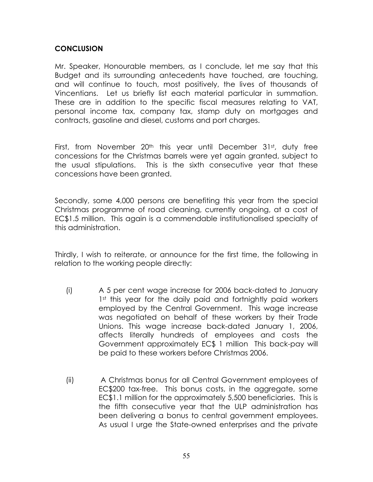#### **CONCLUSION**

Mr. Speaker, Honourable members, as I conclude, let me say that this Budget and its surrounding antecedents have touched, are touching, and will continue to touch, most positively, the lives of thousands of Vincentians. Let us briefly list each material particular in summation. These are in addition to the specific fiscal measures relating to VAT, personal income tax, company tax, stamp duty on mortgages and contracts, gasoline and diesel, customs and port charges.

First, from November 20<sup>th</sup> this year until December 31st, duty free concessions for the Christmas barrels were yet again granted, subject to the usual stipulations. This is the sixth consecutive year that these concessions have been granted.

Secondly, some 4,000 persons are benefiting this year from the special Christmas programme of road cleaning, currently ongoing, at a cost of EC\$1.5 million. This again is a commendable institutionalised specialty of this administration.

Thirdly, I wish to reiterate, or announce for the first time, the following in relation to the working people directly:

- (i) A 5 per cent wage increase for 2006 back-dated to January 1st this year for the daily paid and fortnightly paid workers employed by the Central Government. This wage increase was negotiated on behalf of these workers by their Trade Unions. This wage increase back-dated January 1, 2006, affects literally hundreds of employees and costs the Government approximately EC\$ 1 million This back-pay will be paid to these workers before Christmas 2006.
- (ii) A Christmas bonus for all Central Government employees of EC\$200 tax-free. This bonus costs, in the aggregate, some EC\$1.1 million for the approximately 5,500 beneficiaries. This is the fifth consecutive year that the ULP administration has been delivering a bonus to central government employees. As usual I urge the State-owned enterprises and the private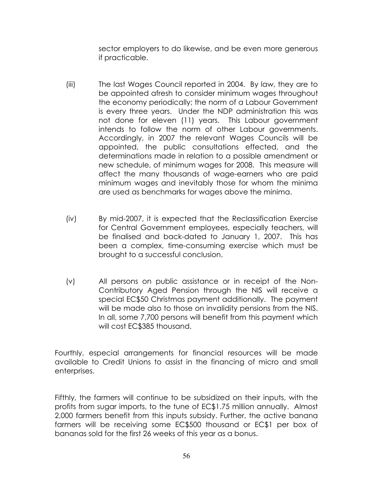sector employers to do likewise, and be even more generous if practicable.

- (iii) The last Wages Council reported in 2004. By law, they are to be appointed afresh to consider minimum wages throughout the economy periodically; the norm of a Labour Government is every three years. Under the NDP administration this was not done for eleven (11) years. This Labour government intends to follow the norm of other Labour governments. Accordingly, in 2007 the relevant Wages Councils will be appointed, the public consultations effected, and the determinations made in relation to a possible amendment or new schedule, of minimum wages for 2008. This measure will affect the many thousands of wage-earners who are paid minimum wages and inevitably those for whom the minima are used as benchmarks for wages above the minima.
- (iv) By mid-2007, it is expected that the Reclassification Exercise for Central Government employees, especially teachers, will be finalised and back-dated to January 1, 2007. This has been a complex, time-consuming exercise which must be brought to a successful conclusion.
- (v) All persons on public assistance or in receipt of the Non-Contributory Aged Pension through the NIS will receive a special EC\$50 Christmas payment additionally. The payment will be made also to those on invalidity pensions from the NIS. In all, some 7,700 persons will benefit from this payment which will cost EC\$385 thousand.

Fourthly, especial arrangements for financial resources will be made available to Credit Unions to assist in the financing of micro and small enterprises.

Fifthly, the farmers will continue to be subsidized on their inputs, with the profits from sugar imports, to the tune of EC\$1.75 million annually. Almost 2,000 farmers benefit from this inputs subsidy. Further, the active banana farmers will be receiving some EC\$500 thousand or EC\$1 per box of bananas sold for the first 26 weeks of this year as a bonus.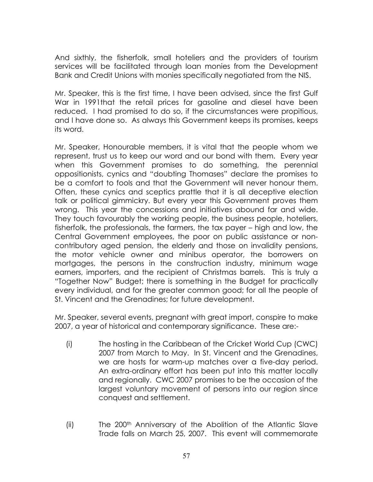And sixthly, the fisherfolk, small hoteliers and the providers of tourism services will be facilitated through loan monies from the Development Bank and Credit Unions with monies specifically negotiated from the NIS.

Mr. Speaker, this is the first time, I have been advised, since the first Gulf War in 1991that the retail prices for gasoline and diesel have been reduced. I had promised to do so, if the circumstances were propitious, and I have done so. As always this Government keeps its promises, keeps its word.

Mr. Speaker, Honourable members, it is vital that the people whom we represent, trust us to keep our word and our bond with them. Every year when this Government promises to do something, the perennial oppositionists, cynics and "doubting Thomases" declare the promises to be a comfort to fools and that the Government will never honour them. Often, these cynics and sceptics prattle that it is all deceptive election talk or political gimmickry. But every year this Government proves them wrong. This year the concessions and initiatives abound far and wide. They touch favourably the working people, the business people, hoteliers, fisherfolk, the professionals, the farmers, the tax payer – high and low, the Central Government employees, the poor on public assistance or noncontributory aged pension, the elderly and those on invalidity pensions, the motor vehicle owner and minibus operator, the borrowers on mortgages, the persons in the construction industry, minimum wage earners, importers, and the recipient of Christmas barrels. This is truly a "Together Now" Budget; there is something in the Budget for practically every individual, and for the greater common good; for all the people of St. Vincent and the Grenadines; for future development.

Mr. Speaker, several events, pregnant with great import, conspire to make 2007, a year of historical and contemporary significance. These are:-

- (i) The hosting in the Caribbean of the Cricket World Cup (CWC) 2007 from March to May. In St. Vincent and the Grenadines, we are hosts for warm-up matches over a five-day period. An extra-ordinary effort has been put into this matter locally and regionally. CWC 2007 promises to be the occasion of the largest voluntary movement of persons into our region since conquest and settlement.
- (ii) The 200<sup>th</sup> Anniversary of the Abolition of the Atlantic Slave Trade falls on March 25, 2007. This event will commemorate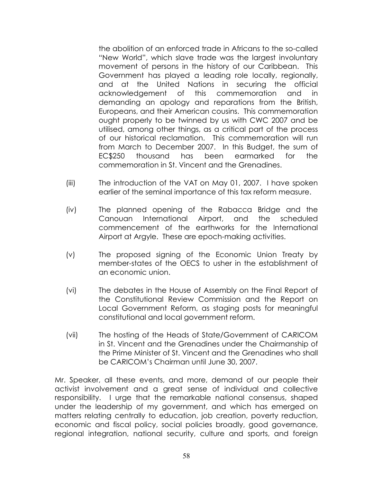the abolition of an enforced trade in Africans to the so-called "New World", which slave trade was the largest involuntary movement of persons in the history of our Caribbean. This Government has played a leading role locally, regionally, and at the United Nations in securing the official acknowledgement of this commemoration and in demanding an apology and reparations from the British, Europeans, and their American cousins. This commemoration ought properly to be twinned by us with CWC 2007 and be utilised, among other things, as a critical part of the process of our historical reclamation. This commemoration will run from March to December 2007. In this Budget, the sum of EC\$250 thousand has been earmarked for the commemoration in St. Vincent and the Grenadines.

- (iii) The introduction of the VAT on May 01, 2007. I have spoken earlier of the seminal importance of this tax reform measure.
- (iv) The planned opening of the Rabacca Bridge and the Canouan International Airport, and the scheduled commencement of the earthworks for the International Airport at Argyle. These are epoch-making activities.
- (v) The proposed signing of the Economic Union Treaty by member-states of the OECS to usher in the establishment of an economic union.
- (vi) The debates in the House of Assembly on the Final Report of the Constitutional Review Commission and the Report on Local Government Reform, as staging posts for meaningful constitutional and local government reform.
- (vii) The hosting of the Heads of State/Government of CARICOM in St. Vincent and the Grenadines under the Chairmanship of the Prime Minister of St. Vincent and the Grenadines who shall be CARICOM's Chairman until June 30, 2007.

Mr. Speaker, all these events, and more, demand of our people their activist involvement and a great sense of individual and collective responsibility. I urge that the remarkable national consensus, shaped under the leadership of my government, and which has emerged on matters relating centrally to education, job creation, poverty reduction, economic and fiscal policy, social policies broadly, good governance, regional integration, national security, culture and sports, and foreign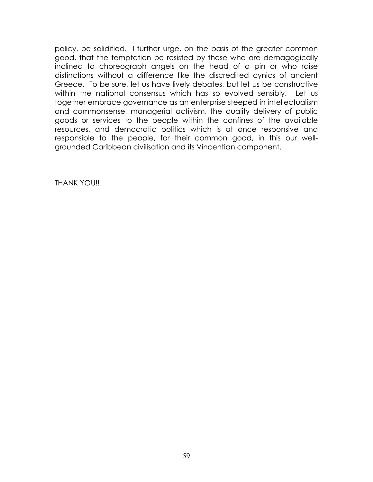policy, be solidified. I further urge, on the basis of the greater common good, that the temptation be resisted by those who are demagogically inclined to choreograph angels on the head of a pin or who raise distinctions without a difference like the discredited cynics of ancient Greece. To be sure, let us have lively debates, but let us be constructive within the national consensus which has so evolved sensibly. Let us together embrace governance as an enterprise steeped in intellectualism and commonsense, managerial activism, the quality delivery of public goods or services to the people within the confines of the available resources, and democratic politics which is at once responsive and responsible to the people, for their common good, in this our wellgrounded Caribbean civilisation and its Vincentian component.

THANK YOU!!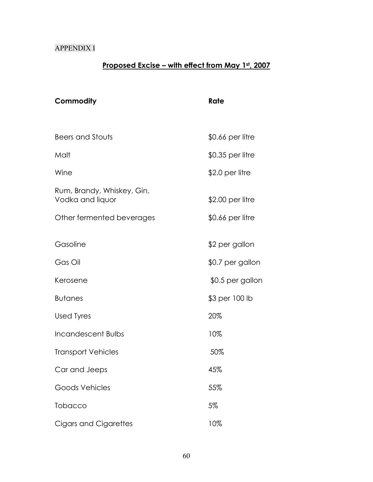#### APPENDIX I

### **Proposed Excise – with effect from May 1st, 2007**

| Commodity                                      | Rate              |  |
|------------------------------------------------|-------------------|--|
|                                                |                   |  |
| Beers and Stouts                               | $$0.66$ per litre |  |
| Malt                                           | \$0.35 per litre  |  |
| Wine                                           | $$2.0$ per litre  |  |
| Rum, Brandy, Whiskey, Gin,<br>Vodka and liquor | $$2.00$ per litre |  |
| Other fermented beverages                      | $$0.66$ per litre |  |
|                                                |                   |  |
| Gasoline                                       | \$2 per gallon    |  |
| Gas Oil                                        | \$0.7 per gallon  |  |
| Kerosene                                       | \$0.5 per gallon  |  |
| <b>Butanes</b>                                 | \$3 per 100 lb    |  |
| <b>Used Tyres</b>                              | 20%               |  |
| Incandescent Bulbs                             | 10%               |  |
| <b>Transport Vehicles</b>                      | 50%               |  |
| Car and Jeeps                                  | 45%               |  |
| Goods Vehicles                                 | 55%               |  |
| <b>Tobacco</b>                                 | 5%                |  |
| Cigars and Cigarettes                          | 10%               |  |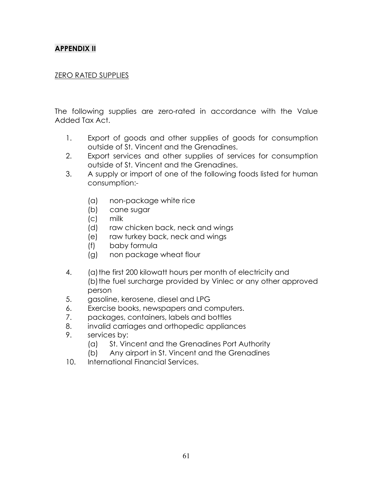#### **APPENDIX II**

#### ZERO RATED SUPPLIES

The following supplies are zero-rated in accordance with the Value Added Tax Act.

- 1. Export of goods and other supplies of goods for consumption outside of St. Vincent and the Grenadines.
- 2. Export services and other supplies of services for consumption outside of St. Vincent and the Grenadines.
- 3. A supply or import of one of the following foods listed for human consumption:-
	- (a) non-package white rice
	- (b) cane sugar
	- (c) milk
	- (d) raw chicken back, neck and wings
	- (e) raw turkey back, neck and wings
	- (f) baby formula
	- (g) non package wheat flour
- 4. (a)the first 200 kilowatt hours per month of electricity and (b) the fuel surcharge provided by Vinlec or any other approved person
- 5. gasoline, kerosene, diesel and LPG
- 6. Exercise books, newspapers and computers.
- 7. packages, containers, labels and bottles
- 8. invalid carriages and orthopedic appliances
- 9. services by:
	- (a) St. Vincent and the Grenadines Port Authority
	- (b) Any airport in St. Vincent and the Grenadines
- 10. International Financial Services.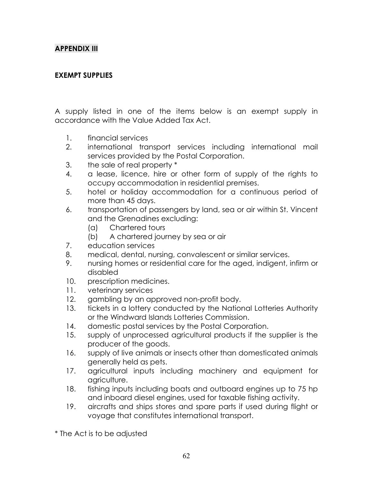#### **APPENDIX III**

#### **EXEMPT SUPPLIES**

A supply listed in one of the items below is an exempt supply in accordance with the Value Added Tax Act.

- 1. financial services
- 2. international transport services including international mail services provided by the Postal Corporation.
- 3. the sale of real property \*
- 4. a lease, licence, hire or other form of supply of the rights to occupy accommodation in residential premises.
- 5. hotel or holiday accommodation for a continuous period of more than 45 days.
- 6. transportation of passengers by land, sea or air within St. Vincent and the Grenadines excluding:
	- (a) Chartered tours
	- (b) A chartered journey by sea or air
- 7. education services
- 8. medical, dental, nursing, convalescent or similar services.
- 9. nursing homes or residential care for the aged, indigent, infirm or disabled
- 10. prescription medicines.
- 11. veterinary services
- 12. gambling by an approved non-profit body.
- 13. tickets in a lottery conducted by the National Lotteries Authority or the Windward Islands Lotteries Commission.
- 14. domestic postal services by the Postal Corporation.
- 15. supply of unprocessed agricultural products if the supplier is the producer of the goods.
- 16. supply of live animals or insects other than domesticated animals generally held as pets.
- 17. agricultural inputs including machinery and equipment for agriculture.
- 18. fishing inputs including boats and outboard engines up to 75 hp and inboard diesel engines, used for taxable fishing activity.
- 19. aircrafts and ships stores and spare parts if used during flight or voyage that constitutes international transport.

\* The Act is to be adjusted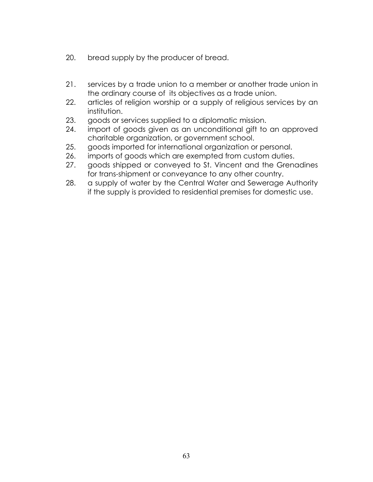- 20. bread supply by the producer of bread.
- 21. services by a trade union to a member or another trade union in the ordinary course of its objectives as a trade union.
- 22. articles of religion worship or a supply of religious services by an institution.
- 23. goods or services supplied to a diplomatic mission.
- 24. import of goods given as an unconditional gift to an approved charitable organization, or government school.
- 25. goods imported for international organization or personal.
- 26. imports of goods which are exempted from custom duties.
- 27. goods shipped or conveyed to St. Vincent and the Grenadines for trans-shipment or conveyance to any other country.
- 28. a supply of water by the Central Water and Sewerage Authority if the supply is provided to residential premises for domestic use.